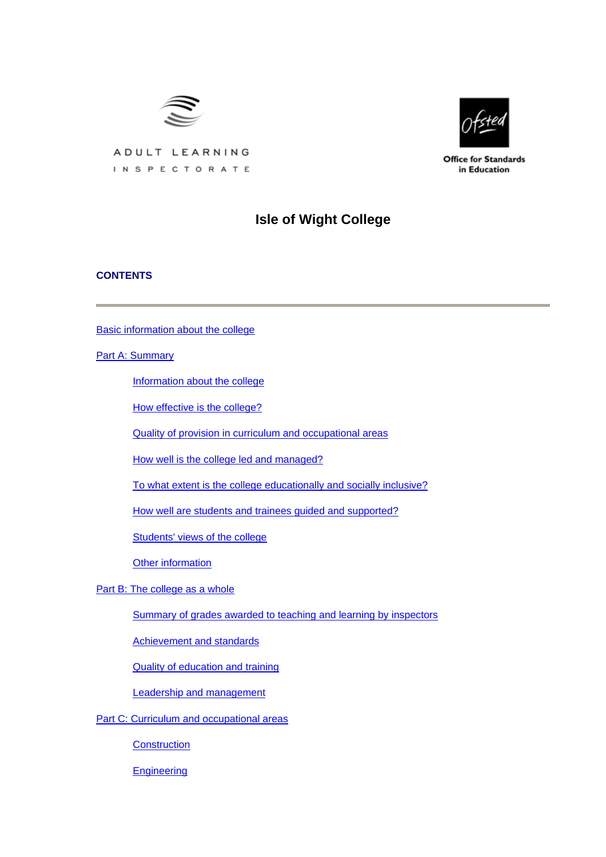



**Office for Standards** in Education

# ADULT LEARNING INSPECTORATE

# **Isle of Wight College**

## **CONTENTS**

[Basic information about the college](#page-1-0)

[Part A: Summary](#page-1-0)

[Information about the college](#page-2-0)

[How effective is the college?](#page-2-0)

[Quality of provision in curriculum and occupational areas](#page-3-0)

[How well is the college led and managed?](#page-4-0)

[To what extent is the college educationally and socially inclusive?](#page-5-0)

[How well are students and trainees guided and supported?](#page-5-0)

[Students' views of the college](#page-5-0)

[Other information](#page-7-0)

[Part B: The college as a whole](#page-7-0)

[Summary of grades awarded to teaching and learning by inspectors](#page-7-0)

[Achievement and standards](#page-7-0)

[Quality of education and training](#page-8-0)

[Leadership and management](#page-11-0)

[Part C: Curriculum and occupational areas](#page-13-0)

**[Construction](#page-13-0)** 

**[Engineering](#page-17-0)**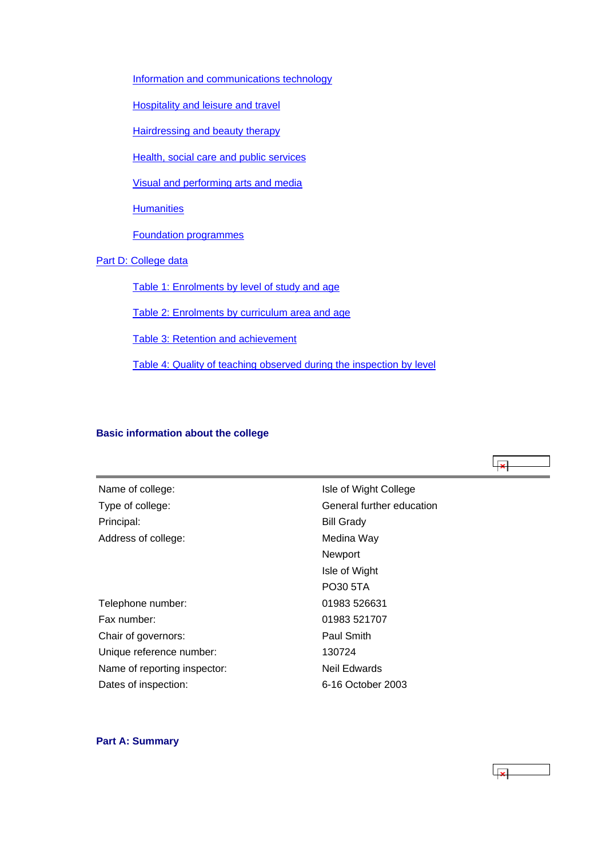<span id="page-1-0"></span>[Information and communications technology](#page-19-0)

[Hospitality and leisure and travel](#page-22-0)

[Hairdressing and beauty therapy](#page-25-0)

[Health, social care and public services](#page-28-0)

[Visual and performing arts and media](#page-31-0)

**[Humanities](#page-34-0)** 

[Foundation programmes](#page-37-0)

[Part D: College data](#page-39-0)

[Table 1: Enrolments by level of study and age](#page-39-0)

[Table 2: Enrolments by curriculum area and age](#page-40-0)

[Table 3: Retention and achievement](#page-41-0)

[Table 4: Quality of teaching observed during the inspection by level](#page-42-0)

## **Basic information about the college**

Principal: Bill Grady Address of college:

Telephone number: 01983 526631 Fax number: 01983 521707 Chair of governors: Paul Smith Unique reference number: 130724 Name of reporting inspector: Neil Edwards Dates of inspection: 6-16 October 2003

Name of college:<br>
Name of college:<br>
Isle of Wight College Type of college: Type of college: General further education Medina Way Newport Isle of Wight PO30 5TA

## **Part A: Summary**

 $\overline{\phantom{a}}$ 

ایجا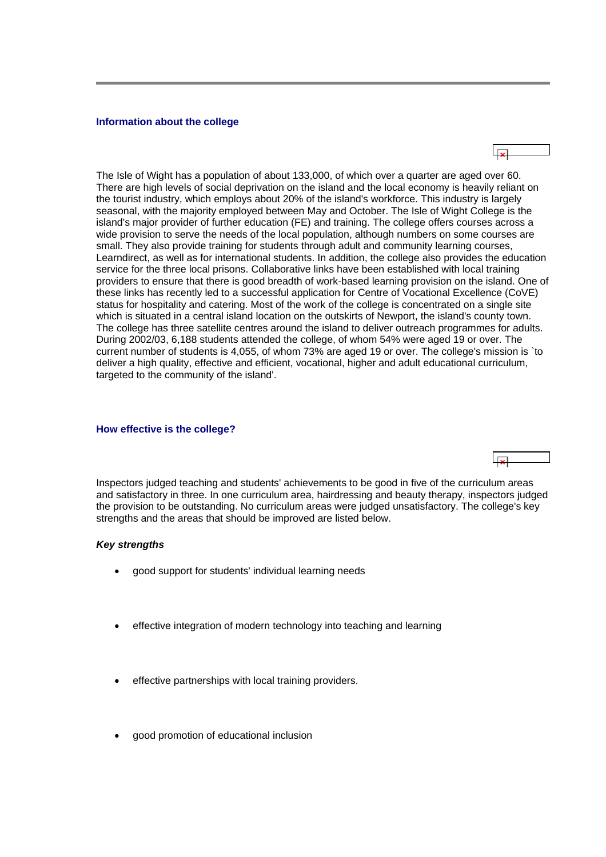#### <span id="page-2-0"></span>**Information about the college**

The Isle of Wight has a population of about 133,000, of which over a quarter are aged over 60. There are high levels of social deprivation on the island and the local economy is heavily reliant on the tourist industry, which employs about 20% of the island's workforce. This industry is largely seasonal, with the majority employed between May and October. The Isle of Wight College is the island's major provider of further education (FE) and training. The college offers courses across a wide provision to serve the needs of the local population, although numbers on some courses are small. They also provide training for students through adult and community learning courses, Learndirect, as well as for international students. In addition, the college also provides the education service for the three local prisons. Collaborative links have been established with local training providers to ensure that there is good breadth of work-based learning provision on the island. One of these links has recently led to a successful application for Centre of Vocational Excellence (CoVE) status for hospitality and catering. Most of the work of the college is concentrated on a single site which is situated in a central island location on the outskirts of Newport, the island's county town. The college has three satellite centres around the island to deliver outreach programmes for adults. During 2002/03, 6,188 students attended the college, of whom 54% were aged 19 or over. The current number of students is 4,055, of whom 73% are aged 19 or over. The college's mission is `to deliver a high quality, effective and efficient, vocational, higher and adult educational curriculum, targeted to the community of the island'.

#### **How effective is the college?**

Inspectors judged teaching and students' achievements to be good in five of the curriculum areas and satisfactory in three. In one curriculum area, hairdressing and beauty therapy, inspectors judged the provision to be outstanding. No curriculum areas were judged unsatisfactory. The college's key strengths and the areas that should be improved are listed below.

## *Key strengths*

- good support for students' individual learning needs
- effective integration of modern technology into teaching and learning
- effective partnerships with local training providers.
- good promotion of educational inclusion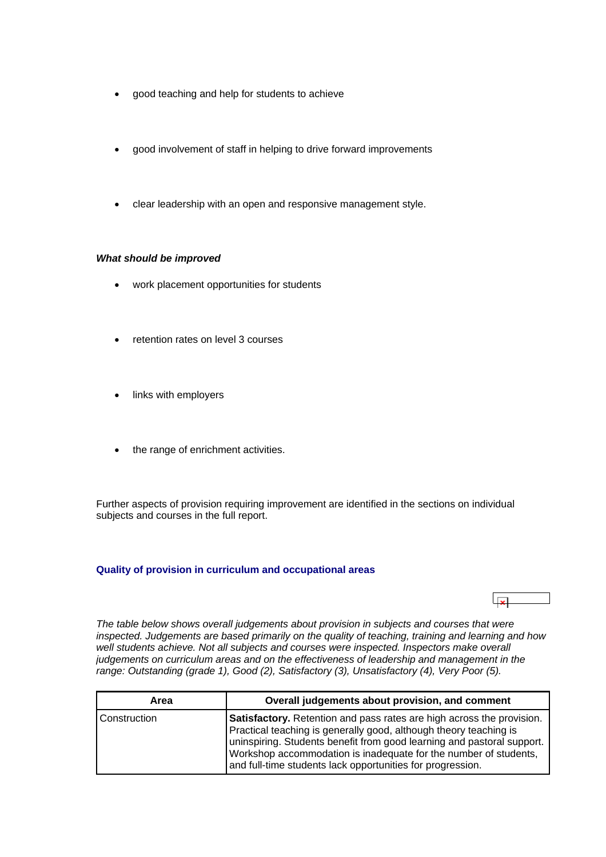- <span id="page-3-0"></span>• good teaching and help for students to achieve
- good involvement of staff in helping to drive forward improvements
- clear leadership with an open and responsive management style.

## *What should be improved*

- work placement opportunities for students
- retention rates on level 3 courses
- links with employers
- the range of enrichment activities.

Further aspects of provision requiring improvement are identified in the sections on individual subjects and courses in the full report.

## **Quality of provision in curriculum and occupational areas**

*The table below shows overall judgements about provision in subjects and courses that were inspected. Judgements are based primarily on the quality of teaching, training and learning and how*  well students achieve. Not all subjects and courses were inspected. Inspectors make overall *judgements on curriculum areas and on the effectiveness of leadership and management in the range: Outstanding (grade 1), Good (2), Satisfactory (3), Unsatisfactory (4), Very Poor (5).*

| Area         | Overall judgements about provision, and comment                                                                                                                                                                                                                                                                                                        |
|--------------|--------------------------------------------------------------------------------------------------------------------------------------------------------------------------------------------------------------------------------------------------------------------------------------------------------------------------------------------------------|
| Construction | Satisfactory. Retention and pass rates are high across the provision.<br>Practical teaching is generally good, although theory teaching is<br>uninspiring. Students benefit from good learning and pastoral support.<br>Workshop accommodation is inadequate for the number of students,<br>and full-time students lack opportunities for progression. |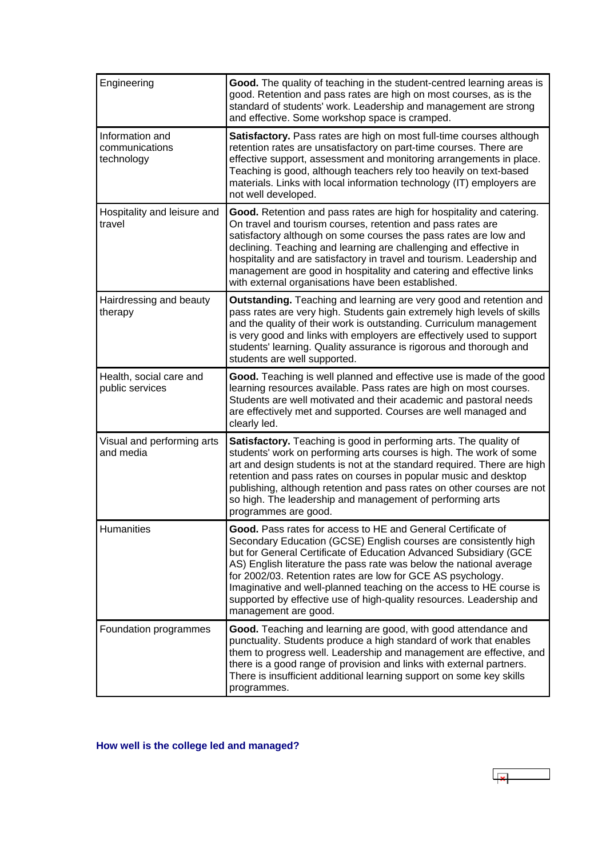<span id="page-4-0"></span>

| Engineering                                     | Good. The quality of teaching in the student-centred learning areas is<br>good. Retention and pass rates are high on most courses, as is the<br>standard of students' work. Leadership and management are strong<br>and effective. Some workshop space is cramped.                                                                                                                                                                                                                                                 |
|-------------------------------------------------|--------------------------------------------------------------------------------------------------------------------------------------------------------------------------------------------------------------------------------------------------------------------------------------------------------------------------------------------------------------------------------------------------------------------------------------------------------------------------------------------------------------------|
| Information and<br>communications<br>technology | Satisfactory. Pass rates are high on most full-time courses although<br>retention rates are unsatisfactory on part-time courses. There are<br>effective support, assessment and monitoring arrangements in place.<br>Teaching is good, although teachers rely too heavily on text-based<br>materials. Links with local information technology (IT) employers are<br>not well developed.                                                                                                                            |
| Hospitality and leisure and<br>travel           | Good. Retention and pass rates are high for hospitality and catering.<br>On travel and tourism courses, retention and pass rates are<br>satisfactory although on some courses the pass rates are low and<br>declining. Teaching and learning are challenging and effective in<br>hospitality and are satisfactory in travel and tourism. Leadership and<br>management are good in hospitality and catering and effective links<br>with external organisations have been established.                               |
| Hairdressing and beauty<br>therapy              | Outstanding. Teaching and learning are very good and retention and<br>pass rates are very high. Students gain extremely high levels of skills<br>and the quality of their work is outstanding. Curriculum management<br>is very good and links with employers are effectively used to support<br>students' learning. Quality assurance is rigorous and thorough and<br>students are well supported.                                                                                                                |
| Health, social care and<br>public services      | Good. Teaching is well planned and effective use is made of the good<br>learning resources available. Pass rates are high on most courses.<br>Students are well motivated and their academic and pastoral needs<br>are effectively met and supported. Courses are well managed and<br>clearly led.                                                                                                                                                                                                                 |
| Visual and performing arts<br>and media         | Satisfactory. Teaching is good in performing arts. The quality of<br>students' work on performing arts courses is high. The work of some<br>art and design students is not at the standard required. There are high<br>retention and pass rates on courses in popular music and desktop<br>publishing, although retention and pass rates on other courses are not<br>so high. The leadership and management of performing arts<br>programmes are good.                                                             |
| Humanities                                      | Good. Pass rates for access to HE and General Certificate of<br>Secondary Education (GCSE) English courses are consistently high<br>but for General Certificate of Education Advanced Subsidiary (GCE<br>AS) English literature the pass rate was below the national average<br>for 2002/03. Retention rates are low for GCE AS psychology.<br>Imaginative and well-planned teaching on the access to HE course is<br>supported by effective use of high-quality resources. Leadership and<br>management are good. |
| Foundation programmes                           | Good. Teaching and learning are good, with good attendance and<br>punctuality. Students produce a high standard of work that enables<br>them to progress well. Leadership and management are effective, and<br>there is a good range of provision and links with external partners.<br>There is insufficient additional learning support on some key skills<br>programmes.                                                                                                                                         |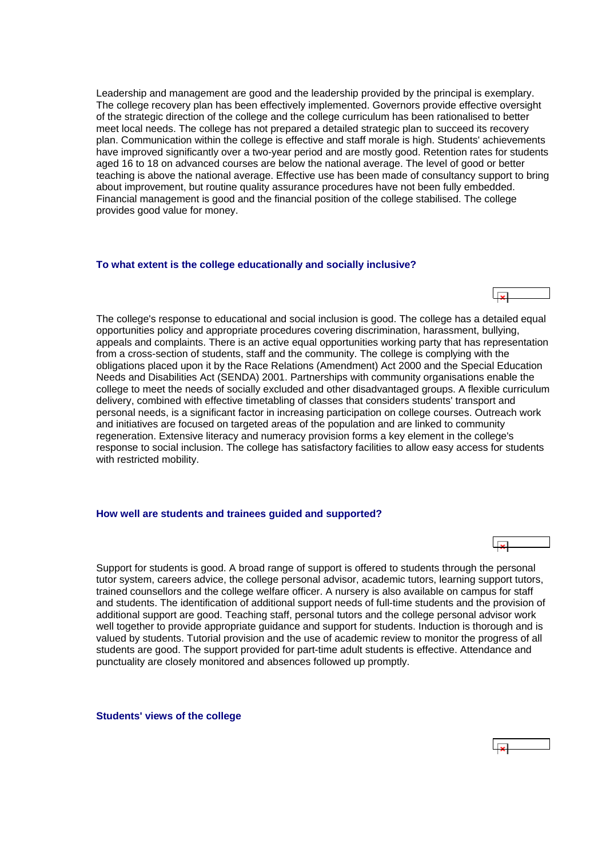<span id="page-5-0"></span>Leadership and management are good and the leadership provided by the principal is exemplary. The college recovery plan has been effectively implemented. Governors provide effective oversight of the strategic direction of the college and the college curriculum has been rationalised to better meet local needs. The college has not prepared a detailed strategic plan to succeed its recovery plan. Communication within the college is effective and staff morale is high. Students' achievements have improved significantly over a two-year period and are mostly good. Retention rates for students aged 16 to 18 on advanced courses are below the national average. The level of good or better teaching is above the national average. Effective use has been made of consultancy support to bring about improvement, but routine quality assurance procedures have not been fully embedded. Financial management is good and the financial position of the college stabilised. The college provides good value for money.

#### **To what extent is the college educationally and socially inclusive?**

The college's response to educational and social inclusion is good. The college has a detailed equal opportunities policy and appropriate procedures covering discrimination, harassment, bullying, appeals and complaints. There is an active equal opportunities working party that has representation from a cross-section of students, staff and the community. The college is complying with the obligations placed upon it by the Race Relations (Amendment) Act 2000 and the Special Education Needs and Disabilities Act (SENDA) 2001. Partnerships with community organisations enable the college to meet the needs of socially excluded and other disadvantaged groups. A flexible curriculum delivery, combined with effective timetabling of classes that considers students' transport and personal needs, is a significant factor in increasing participation on college courses. Outreach work and initiatives are focused on targeted areas of the population and are linked to community regeneration. Extensive literacy and numeracy provision forms a key element in the college's response to social inclusion. The college has satisfactory facilities to allow easy access for students with restricted mobility.

#### **How well are students and trainees guided and supported?**

Support for students is good. A broad range of support is offered to students through the personal tutor system, careers advice, the college personal advisor, academic tutors, learning support tutors, trained counsellors and the college welfare officer. A nursery is also available on campus for staff and students. The identification of additional support needs of full-time students and the provision of additional support are good. Teaching staff, personal tutors and the college personal advisor work well together to provide appropriate guidance and support for students. Induction is thorough and is valued by students. Tutorial provision and the use of academic review to monitor the progress of all students are good. The support provided for part-time adult students is effective. Attendance and punctuality are closely monitored and absences followed up promptly.

**Students' views of the college**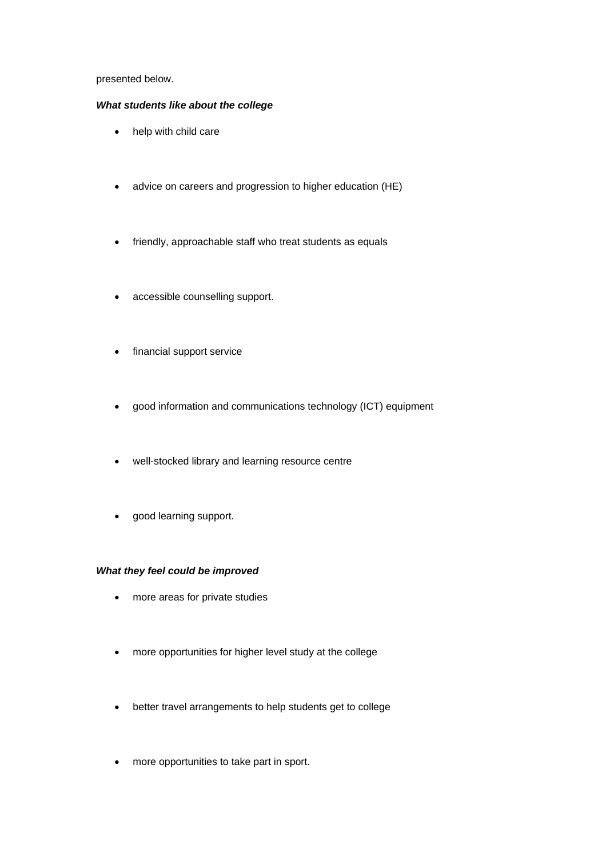## presented below.

## *What students like about the college*

- help with child care
- advice on careers and progression to higher education (HE)
- friendly, approachable staff who treat students as equals
- accessible counselling support.
- financial support service
- good information and communications technology (ICT) equipment
- well-stocked library and learning resource centre
- good learning support.

## *What they feel could be improved*

- more areas for private studies
- more opportunities for higher level study at the college
- better travel arrangements to help students get to college
- more opportunities to take part in sport.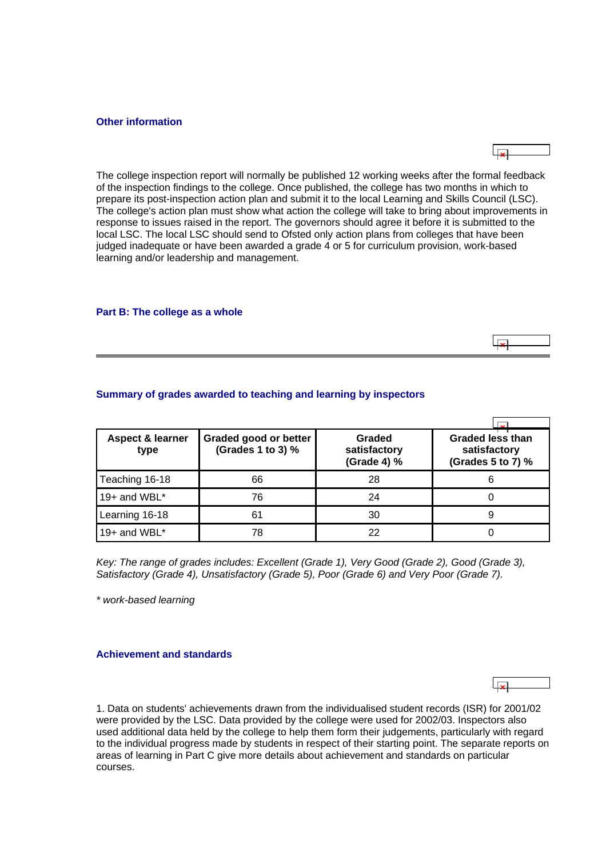#### <span id="page-7-0"></span>**Other information**

The college inspection report will normally be published 12 working weeks after the formal feedback of the inspection findings to the college. Once published, the college has two months in which to prepare its post-inspection action plan and submit it to the local Learning and Skills Council (LSC). The college's action plan must show what action the college will take to bring about improvements in response to issues raised in the report. The governors should agree it before it is submitted to the local LSC. The local LSC should send to Ofsted only action plans from colleges that have been judged inadequate or have been awarded a grade 4 or 5 for curriculum provision, work-based learning and/or leadership and management.

#### **Part B: The college as a whole**



| <b>Aspect &amp; learner</b><br>type | Graded good or better<br>(Grades 1 to 3) % | Graded<br>satisfactory<br>(Grade 4) % | <b>Graded less than</b><br>satisfactory<br>(Grades 5 to 7) % |
|-------------------------------------|--------------------------------------------|---------------------------------------|--------------------------------------------------------------|
| Teaching 16-18                      | 66                                         | 28                                    | 6                                                            |
| 19+ and $WBL^*$                     | 76                                         | 24                                    |                                                              |
| Learning 16-18                      | 61                                         | 30                                    | 9                                                            |
| 19+ and $WBL^*$                     | 78                                         | 22                                    |                                                              |

## **Summary of grades awarded to teaching and learning by inspectors**

*Key: The range of grades includes: Excellent (Grade 1), Very Good (Grade 2), Good (Grade 3), Satisfactory (Grade 4), Unsatisfactory (Grade 5), Poor (Grade 6) and Very Poor (Grade 7).*

*\* work-based learning*

## **Achievement and standards**

1. Data on students' achievements drawn from the individualised student records (ISR) for 2001/02 were provided by the LSC. Data provided by the college were used for 2002/03. Inspectors also used additional data held by the college to help them form their judgements, particularly with regard to the individual progress made by students in respect of their starting point. The separate reports on areas of learning in Part C give more details about achievement and standards on particular courses.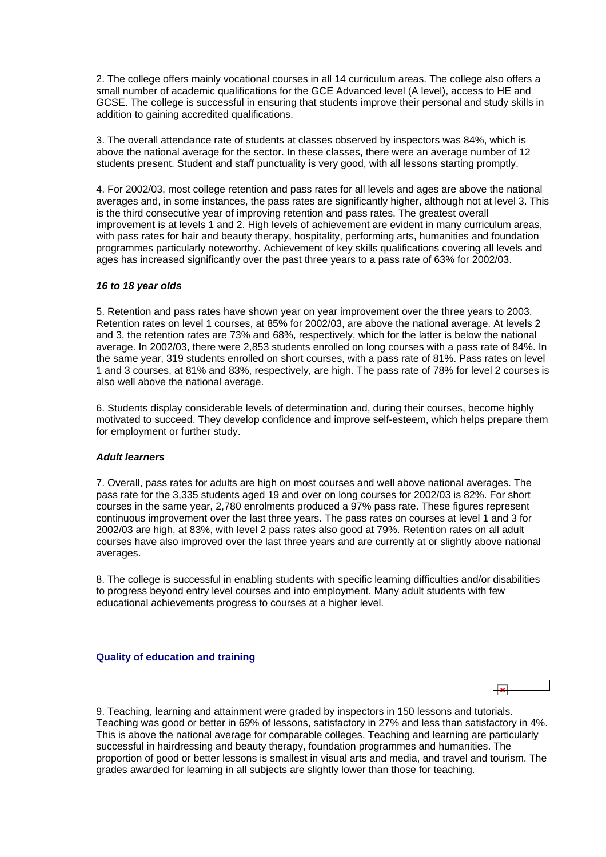<span id="page-8-0"></span>2. The college offers mainly vocational courses in all 14 curriculum areas. The college also offers a small number of academic qualifications for the GCE Advanced level (A level), access to HE and GCSE. The college is successful in ensuring that students improve their personal and study skills in addition to gaining accredited qualifications.

3. The overall attendance rate of students at classes observed by inspectors was 84%, which is above the national average for the sector. In these classes, there were an average number of 12 students present. Student and staff punctuality is very good, with all lessons starting promptly.

4. For 2002/03, most college retention and pass rates for all levels and ages are above the national averages and, in some instances, the pass rates are significantly higher, although not at level 3. This is the third consecutive year of improving retention and pass rates. The greatest overall improvement is at levels 1 and 2. High levels of achievement are evident in many curriculum areas, with pass rates for hair and beauty therapy, hospitality, performing arts, humanities and foundation programmes particularly noteworthy. Achievement of key skills qualifications covering all levels and ages has increased significantly over the past three years to a pass rate of 63% for 2002/03.

## *16 to 18 year olds*

5. Retention and pass rates have shown year on year improvement over the three years to 2003. Retention rates on level 1 courses, at 85% for 2002/03, are above the national average. At levels 2 and 3, the retention rates are 73% and 68%, respectively, which for the latter is below the national average. In 2002/03, there were 2,853 students enrolled on long courses with a pass rate of 84%. In the same year, 319 students enrolled on short courses, with a pass rate of 81%. Pass rates on level 1 and 3 courses, at 81% and 83%, respectively, are high. The pass rate of 78% for level 2 courses is also well above the national average.

6. Students display considerable levels of determination and, during their courses, become highly motivated to succeed. They develop confidence and improve self-esteem, which helps prepare them for employment or further study.

## *Adult learners*

7. Overall, pass rates for adults are high on most courses and well above national averages. The pass rate for the 3,335 students aged 19 and over on long courses for 2002/03 is 82%. For short courses in the same year, 2,780 enrolments produced a 97% pass rate. These figures represent continuous improvement over the last three years. The pass rates on courses at level 1 and 3 for 2002/03 are high, at 83%, with level 2 pass rates also good at 79%. Retention rates on all adult courses have also improved over the last three years and are currently at or slightly above national averages.

8. The college is successful in enabling students with specific learning difficulties and/or disabilities to progress beyond entry level courses and into employment. Many adult students with few educational achievements progress to courses at a higher level.

## **Quality of education and training**

9. Teaching, learning and attainment were graded by inspectors in 150 lessons and tutorials. Teaching was good or better in 69% of lessons, satisfactory in 27% and less than satisfactory in 4%. This is above the national average for comparable colleges. Teaching and learning are particularly successful in hairdressing and beauty therapy, foundation programmes and humanities. The proportion of good or better lessons is smallest in visual arts and media, and travel and tourism. The grades awarded for learning in all subjects are slightly lower than those for teaching.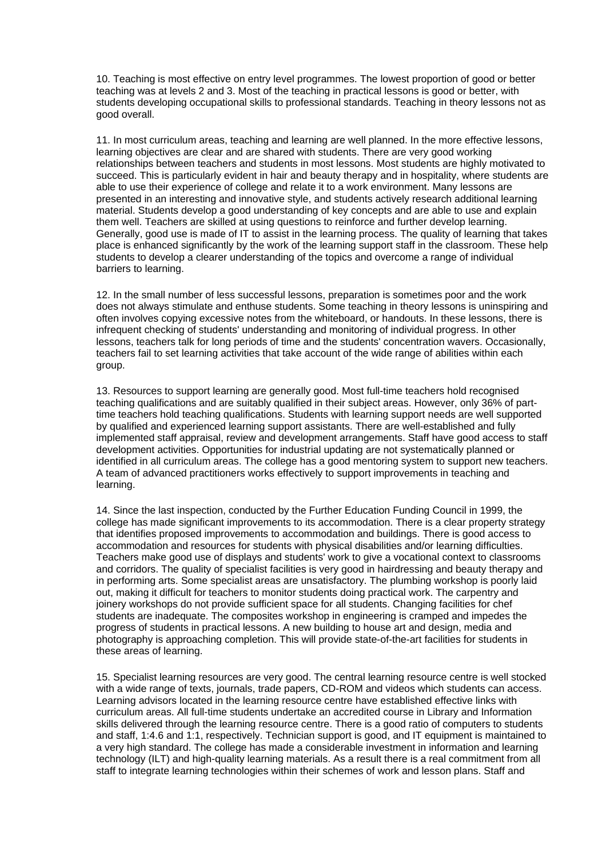10. Teaching is most effective on entry level programmes. The lowest proportion of good or better teaching was at levels 2 and 3. Most of the teaching in practical lessons is good or better, with students developing occupational skills to professional standards. Teaching in theory lessons not as good overall.

11. In most curriculum areas, teaching and learning are well planned. In the more effective lessons, learning objectives are clear and are shared with students. There are very good working relationships between teachers and students in most lessons. Most students are highly motivated to succeed. This is particularly evident in hair and beauty therapy and in hospitality, where students are able to use their experience of college and relate it to a work environment. Many lessons are presented in an interesting and innovative style, and students actively research additional learning material. Students develop a good understanding of key concepts and are able to use and explain them well. Teachers are skilled at using questions to reinforce and further develop learning. Generally, good use is made of IT to assist in the learning process. The quality of learning that takes place is enhanced significantly by the work of the learning support staff in the classroom. These help students to develop a clearer understanding of the topics and overcome a range of individual barriers to learning.

12. In the small number of less successful lessons, preparation is sometimes poor and the work does not always stimulate and enthuse students. Some teaching in theory lessons is uninspiring and often involves copying excessive notes from the whiteboard, or handouts. In these lessons, there is infrequent checking of students' understanding and monitoring of individual progress. In other lessons, teachers talk for long periods of time and the students' concentration wavers. Occasionally, teachers fail to set learning activities that take account of the wide range of abilities within each group.

13. Resources to support learning are generally good. Most full-time teachers hold recognised teaching qualifications and are suitably qualified in their subject areas. However, only 36% of parttime teachers hold teaching qualifications. Students with learning support needs are well supported by qualified and experienced learning support assistants. There are well-established and fully implemented staff appraisal, review and development arrangements. Staff have good access to staff development activities. Opportunities for industrial updating are not systematically planned or identified in all curriculum areas. The college has a good mentoring system to support new teachers. A team of advanced practitioners works effectively to support improvements in teaching and learning.

14. Since the last inspection, conducted by the Further Education Funding Council in 1999, the college has made significant improvements to its accommodation. There is a clear property strategy that identifies proposed improvements to accommodation and buildings. There is good access to accommodation and resources for students with physical disabilities and/or learning difficulties. Teachers make good use of displays and students' work to give a vocational context to classrooms and corridors. The quality of specialist facilities is very good in hairdressing and beauty therapy and in performing arts. Some specialist areas are unsatisfactory. The plumbing workshop is poorly laid out, making it difficult for teachers to monitor students doing practical work. The carpentry and joinery workshops do not provide sufficient space for all students. Changing facilities for chef students are inadequate. The composites workshop in engineering is cramped and impedes the progress of students in practical lessons. A new building to house art and design, media and photography is approaching completion. This will provide state-of-the-art facilities for students in these areas of learning.

15. Specialist learning resources are very good. The central learning resource centre is well stocked with a wide range of texts, journals, trade papers, CD-ROM and videos which students can access. Learning advisors located in the learning resource centre have established effective links with curriculum areas. All full-time students undertake an accredited course in Library and Information skills delivered through the learning resource centre. There is a good ratio of computers to students and staff, 1:4.6 and 1:1, respectively. Technician support is good, and IT equipment is maintained to a very high standard. The college has made a considerable investment in information and learning technology (ILT) and high-quality learning materials. As a result there is a real commitment from all staff to integrate learning technologies within their schemes of work and lesson plans. Staff and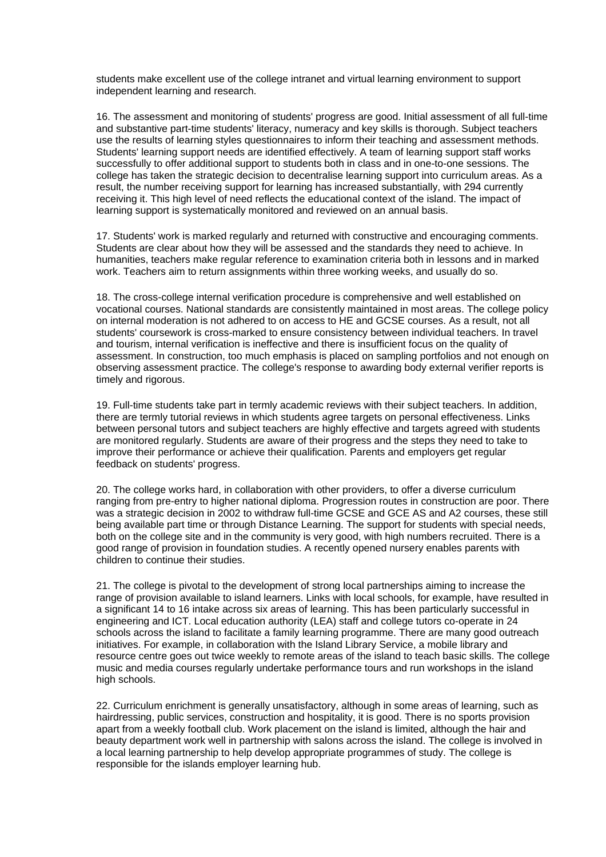students make excellent use of the college intranet and virtual learning environment to support independent learning and research.

16. The assessment and monitoring of students' progress are good. Initial assessment of all full-time and substantive part-time students' literacy, numeracy and key skills is thorough. Subject teachers use the results of learning styles questionnaires to inform their teaching and assessment methods. Students' learning support needs are identified effectively. A team of learning support staff works successfully to offer additional support to students both in class and in one-to-one sessions. The college has taken the strategic decision to decentralise learning support into curriculum areas. As a result, the number receiving support for learning has increased substantially, with 294 currently receiving it. This high level of need reflects the educational context of the island. The impact of learning support is systematically monitored and reviewed on an annual basis.

17. Students' work is marked regularly and returned with constructive and encouraging comments. Students are clear about how they will be assessed and the standards they need to achieve. In humanities, teachers make regular reference to examination criteria both in lessons and in marked work. Teachers aim to return assignments within three working weeks, and usually do so.

18. The cross-college internal verification procedure is comprehensive and well established on vocational courses. National standards are consistently maintained in most areas. The college policy on internal moderation is not adhered to on access to HE and GCSE courses. As a result, not all students' coursework is cross-marked to ensure consistency between individual teachers. In travel and tourism, internal verification is ineffective and there is insufficient focus on the quality of assessment. In construction, too much emphasis is placed on sampling portfolios and not enough on observing assessment practice. The college's response to awarding body external verifier reports is timely and rigorous.

19. Full-time students take part in termly academic reviews with their subject teachers. In addition, there are termly tutorial reviews in which students agree targets on personal effectiveness. Links between personal tutors and subject teachers are highly effective and targets agreed with students are monitored regularly. Students are aware of their progress and the steps they need to take to improve their performance or achieve their qualification. Parents and employers get regular feedback on students' progress.

20. The college works hard, in collaboration with other providers, to offer a diverse curriculum ranging from pre-entry to higher national diploma. Progression routes in construction are poor. There was a strategic decision in 2002 to withdraw full-time GCSE and GCE AS and A2 courses, these still being available part time or through Distance Learning. The support for students with special needs, both on the college site and in the community is very good, with high numbers recruited. There is a good range of provision in foundation studies. A recently opened nursery enables parents with children to continue their studies.

21. The college is pivotal to the development of strong local partnerships aiming to increase the range of provision available to island learners. Links with local schools, for example, have resulted in a significant 14 to 16 intake across six areas of learning. This has been particularly successful in engineering and ICT. Local education authority (LEA) staff and college tutors co-operate in 24 schools across the island to facilitate a family learning programme. There are many good outreach initiatives. For example, in collaboration with the Island Library Service, a mobile library and resource centre goes out twice weekly to remote areas of the island to teach basic skills. The college music and media courses regularly undertake performance tours and run workshops in the island high schools.

22. Curriculum enrichment is generally unsatisfactory, although in some areas of learning, such as hairdressing, public services, construction and hospitality, it is good. There is no sports provision apart from a weekly football club. Work placement on the island is limited, although the hair and beauty department work well in partnership with salons across the island. The college is involved in a local learning partnership to help develop appropriate programmes of study. The college is responsible for the islands employer learning hub.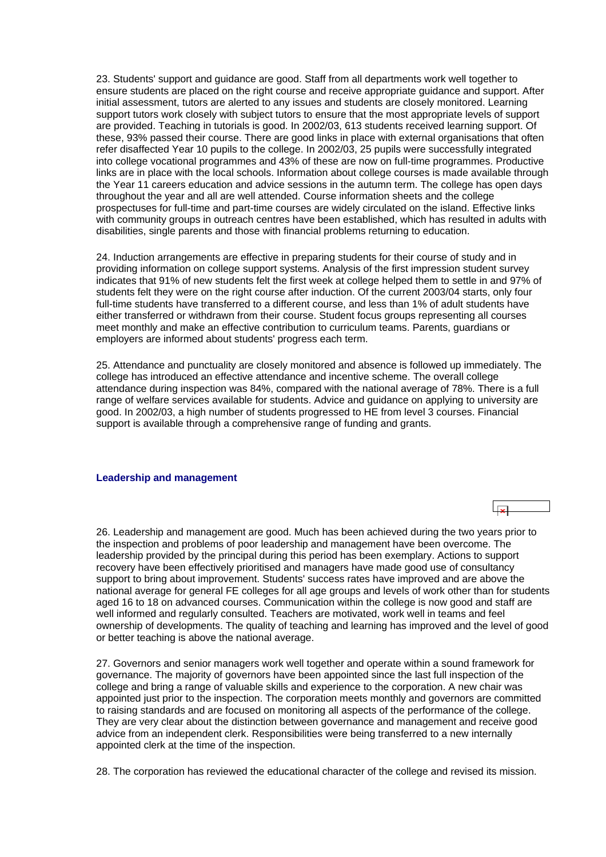<span id="page-11-0"></span>23. Students' support and guidance are good. Staff from all departments work well together to ensure students are placed on the right course and receive appropriate guidance and support. After initial assessment, tutors are alerted to any issues and students are closely monitored. Learning support tutors work closely with subject tutors to ensure that the most appropriate levels of support are provided. Teaching in tutorials is good. In 2002/03, 613 students received learning support. Of these, 93% passed their course. There are good links in place with external organisations that often refer disaffected Year 10 pupils to the college. In 2002/03, 25 pupils were successfully integrated into college vocational programmes and 43% of these are now on full-time programmes. Productive links are in place with the local schools. Information about college courses is made available through the Year 11 careers education and advice sessions in the autumn term. The college has open days throughout the year and all are well attended. Course information sheets and the college prospectuses for full-time and part-time courses are widely circulated on the island. Effective links with community groups in outreach centres have been established, which has resulted in adults with disabilities, single parents and those with financial problems returning to education.

24. Induction arrangements are effective in preparing students for their course of study and in providing information on college support systems. Analysis of the first impression student survey indicates that 91% of new students felt the first week at college helped them to settle in and 97% of students felt they were on the right course after induction. Of the current 2003/04 starts, only four full-time students have transferred to a different course, and less than 1% of adult students have either transferred or withdrawn from their course. Student focus groups representing all courses meet monthly and make an effective contribution to curriculum teams. Parents, guardians or employers are informed about students' progress each term.

25. Attendance and punctuality are closely monitored and absence is followed up immediately. The college has introduced an effective attendance and incentive scheme. The overall college attendance during inspection was 84%, compared with the national average of 78%. There is a full range of welfare services available for students. Advice and guidance on applying to university are good. In 2002/03, a high number of students progressed to HE from level 3 courses. Financial support is available through a comprehensive range of funding and grants.

#### **Leadership and management**



27. Governors and senior managers work well together and operate within a sound framework for governance. The majority of governors have been appointed since the last full inspection of the college and bring a range of valuable skills and experience to the corporation. A new chair was appointed just prior to the inspection. The corporation meets monthly and governors are committed to raising standards and are focused on monitoring all aspects of the performance of the college. They are very clear about the distinction between governance and management and receive good advice from an independent clerk. Responsibilities were being transferred to a new internally appointed clerk at the time of the inspection.

28. The corporation has reviewed the educational character of the college and revised its mission.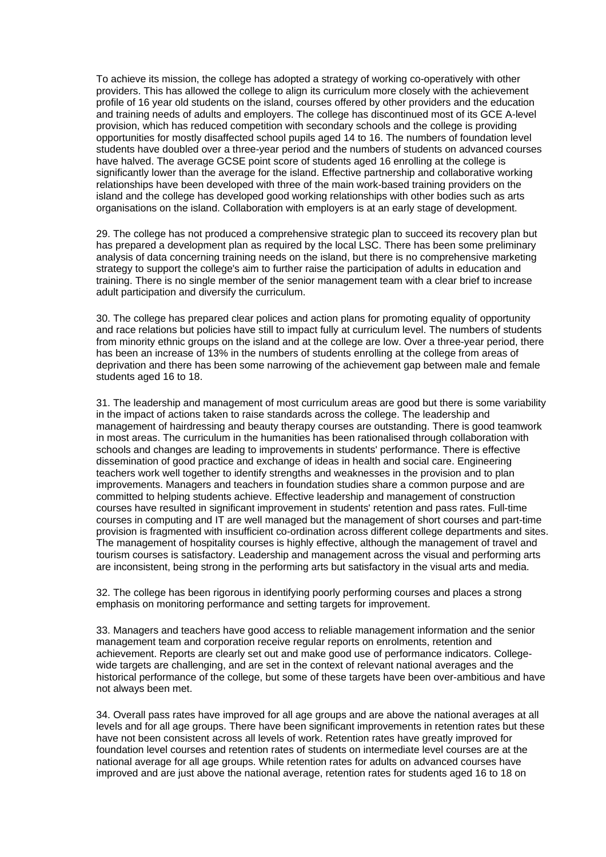To achieve its mission, the college has adopted a strategy of working co-operatively with other providers. This has allowed the college to align its curriculum more closely with the achievement profile of 16 year old students on the island, courses offered by other providers and the education and training needs of adults and employers. The college has discontinued most of its GCE A-level provision, which has reduced competition with secondary schools and the college is providing opportunities for mostly disaffected school pupils aged 14 to 16. The numbers of foundation level students have doubled over a three-year period and the numbers of students on advanced courses have halved. The average GCSE point score of students aged 16 enrolling at the college is significantly lower than the average for the island. Effective partnership and collaborative working relationships have been developed with three of the main work-based training providers on the island and the college has developed good working relationships with other bodies such as arts organisations on the island. Collaboration with employers is at an early stage of development.

29. The college has not produced a comprehensive strategic plan to succeed its recovery plan but has prepared a development plan as required by the local LSC. There has been some preliminary analysis of data concerning training needs on the island, but there is no comprehensive marketing strategy to support the college's aim to further raise the participation of adults in education and training. There is no single member of the senior management team with a clear brief to increase adult participation and diversify the curriculum.

30. The college has prepared clear polices and action plans for promoting equality of opportunity and race relations but policies have still to impact fully at curriculum level. The numbers of students from minority ethnic groups on the island and at the college are low. Over a three-year period, there has been an increase of 13% in the numbers of students enrolling at the college from areas of deprivation and there has been some narrowing of the achievement gap between male and female students aged 16 to 18.

31. The leadership and management of most curriculum areas are good but there is some variability in the impact of actions taken to raise standards across the college. The leadership and management of hairdressing and beauty therapy courses are outstanding. There is good teamwork in most areas. The curriculum in the humanities has been rationalised through collaboration with schools and changes are leading to improvements in students' performance. There is effective dissemination of good practice and exchange of ideas in health and social care. Engineering teachers work well together to identify strengths and weaknesses in the provision and to plan improvements. Managers and teachers in foundation studies share a common purpose and are committed to helping students achieve. Effective leadership and management of construction courses have resulted in significant improvement in students' retention and pass rates. Full-time courses in computing and IT are well managed but the management of short courses and part-time provision is fragmented with insufficient co-ordination across different college departments and sites. The management of hospitality courses is highly effective, although the management of travel and tourism courses is satisfactory. Leadership and management across the visual and performing arts are inconsistent, being strong in the performing arts but satisfactory in the visual arts and media.

32. The college has been rigorous in identifying poorly performing courses and places a strong emphasis on monitoring performance and setting targets for improvement.

33. Managers and teachers have good access to reliable management information and the senior management team and corporation receive regular reports on enrolments, retention and achievement. Reports are clearly set out and make good use of performance indicators. Collegewide targets are challenging, and are set in the context of relevant national averages and the historical performance of the college, but some of these targets have been over-ambitious and have not always been met.

34. Overall pass rates have improved for all age groups and are above the national averages at all levels and for all age groups. There have been significant improvements in retention rates but these have not been consistent across all levels of work. Retention rates have greatly improved for foundation level courses and retention rates of students on intermediate level courses are at the national average for all age groups. While retention rates for adults on advanced courses have improved and are just above the national average, retention rates for students aged 16 to 18 on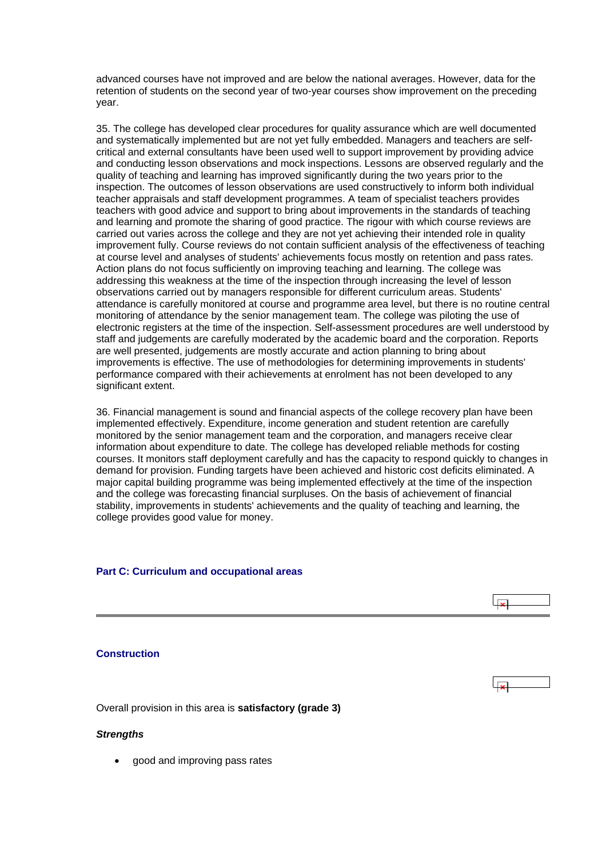<span id="page-13-0"></span>advanced courses have not improved and are below the national averages. However, data for the retention of students on the second year of two-year courses show improvement on the preceding year.

35. The college has developed clear procedures for quality assurance which are well documented and systematically implemented but are not yet fully embedded. Managers and teachers are selfcritical and external consultants have been used well to support improvement by providing advice and conducting lesson observations and mock inspections. Lessons are observed regularly and the quality of teaching and learning has improved significantly during the two years prior to the inspection. The outcomes of lesson observations are used constructively to inform both individual teacher appraisals and staff development programmes. A team of specialist teachers provides teachers with good advice and support to bring about improvements in the standards of teaching and learning and promote the sharing of good practice. The rigour with which course reviews are carried out varies across the college and they are not yet achieving their intended role in quality improvement fully. Course reviews do not contain sufficient analysis of the effectiveness of teaching at course level and analyses of students' achievements focus mostly on retention and pass rates. Action plans do not focus sufficiently on improving teaching and learning. The college was addressing this weakness at the time of the inspection through increasing the level of lesson observations carried out by managers responsible for different curriculum areas. Students' attendance is carefully monitored at course and programme area level, but there is no routine central monitoring of attendance by the senior management team. The college was piloting the use of electronic registers at the time of the inspection. Self-assessment procedures are well understood by staff and judgements are carefully moderated by the academic board and the corporation. Reports are well presented, judgements are mostly accurate and action planning to bring about improvements is effective. The use of methodologies for determining improvements in students' performance compared with their achievements at enrolment has not been developed to any significant extent.

36. Financial management is sound and financial aspects of the college recovery plan have been implemented effectively. Expenditure, income generation and student retention are carefully monitored by the senior management team and the corporation, and managers receive clear information about expenditure to date. The college has developed reliable methods for costing courses. It monitors staff deployment carefully and has the capacity to respond quickly to changes in demand for provision. Funding targets have been achieved and historic cost deficits eliminated. A major capital building programme was being implemented effectively at the time of the inspection and the college was forecasting financial surpluses. On the basis of achievement of financial stability, improvements in students' achievements and the quality of teaching and learning, the college provides good value for money.

## **Part C: Curriculum and occupational areas**

# $\overline{|\mathbf{x}|}$

## **Construction**

Overall provision in this area is **satisfactory (grade 3)**

#### *Strengths*

• good and improving pass rates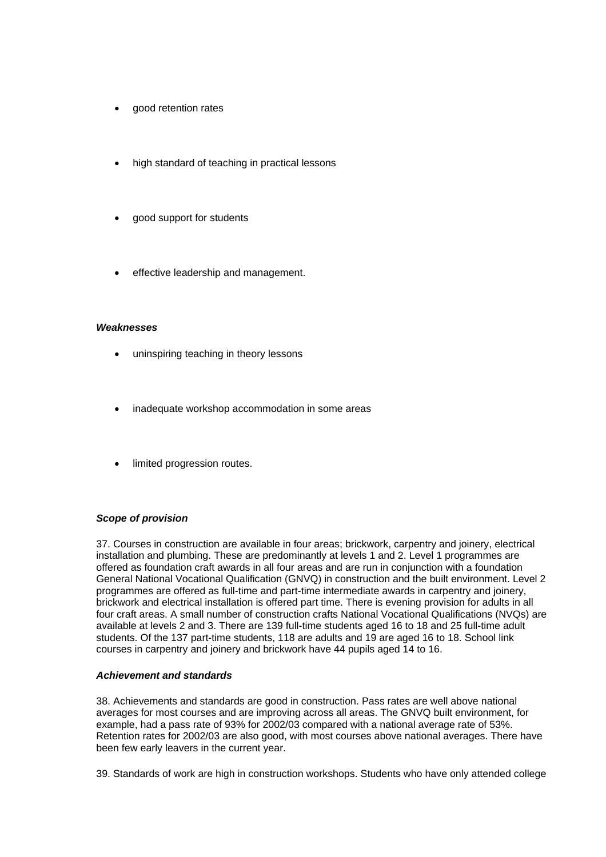- good retention rates
- high standard of teaching in practical lessons
- good support for students
- effective leadership and management.

## *Weaknesses*

- uninspiring teaching in theory lessons
- inadequate workshop accommodation in some areas
- limited progression routes.

## *Scope of provision*

37. Courses in construction are available in four areas; brickwork, carpentry and joinery, electrical installation and plumbing. These are predominantly at levels 1 and 2. Level 1 programmes are offered as foundation craft awards in all four areas and are run in conjunction with a foundation General National Vocational Qualification (GNVQ) in construction and the built environment. Level 2 programmes are offered as full-time and part-time intermediate awards in carpentry and joinery, brickwork and electrical installation is offered part time. There is evening provision for adults in all four craft areas. A small number of construction crafts National Vocational Qualifications (NVQs) are available at levels 2 and 3. There are 139 full-time students aged 16 to 18 and 25 full-time adult students. Of the 137 part-time students, 118 are adults and 19 are aged 16 to 18. School link courses in carpentry and joinery and brickwork have 44 pupils aged 14 to 16.

## *Achievement and standards*

38. Achievements and standards are good in construction. Pass rates are well above national averages for most courses and are improving across all areas. The GNVQ built environment, for example, had a pass rate of 93% for 2002/03 compared with a national average rate of 53%. Retention rates for 2002/03 are also good, with most courses above national averages. There have been few early leavers in the current year.

39. Standards of work are high in construction workshops. Students who have only attended college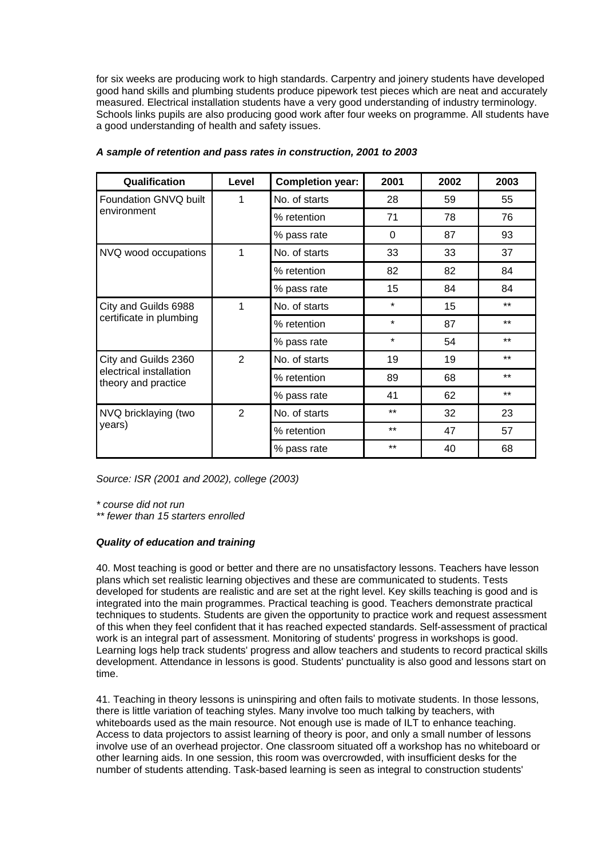for six weeks are producing work to high standards. Carpentry and joinery students have developed good hand skills and plumbing students produce pipework test pieces which are neat and accurately measured. Electrical installation students have a very good understanding of industry terminology. Schools links pupils are also producing good work after four weeks on programme. All students have a good understanding of health and safety issues.

| Qualification                                  | Level          | <b>Completion year:</b> | 2001     | 2002 | 2003  |
|------------------------------------------------|----------------|-------------------------|----------|------|-------|
| Foundation GNVQ built                          | 1              | No. of starts           | 28       | 59   | 55    |
| environment                                    |                | % retention             | 71       | 78   | 76    |
|                                                |                | % pass rate             | $\Omega$ | 87   | 93    |
| NVQ wood occupations                           | 1              | No. of starts           | 33       | 33   | 37    |
|                                                |                | % retention             | 82       | 82   | 84    |
|                                                |                | % pass rate             | 15       | 84   | 84    |
| City and Guilds 6988                           | 1              | No. of starts           | $\star$  | 15   | $***$ |
| certificate in plumbing                        |                | % retention             | $\star$  | 87   | $***$ |
|                                                |                | % pass rate             | $\star$  | 54   | $***$ |
| City and Guilds 2360                           | $\overline{2}$ | No. of starts           | 19       | 19   | $***$ |
| electrical installation<br>theory and practice |                | % retention             | 89       | 68   | $***$ |
|                                                |                | % pass rate             | 41       | 62   | $***$ |
| NVQ bricklaying (two                           | $\overline{2}$ | No. of starts           | $***$    | 32   | 23    |
| years)                                         |                | % retention             | $***$    | 47   | 57    |
|                                                |                | % pass rate             | $***$    | 40   | 68    |

## *A sample of retention and pass rates in construction, 2001 to 2003*

*Source: ISR (2001 and 2002), college (2003)*

*\* course did not run* 

*\*\* fewer than 15 starters enrolled*

## *Quality of education and training*

40. Most teaching is good or better and there are no unsatisfactory lessons. Teachers have lesson plans which set realistic learning objectives and these are communicated to students. Tests developed for students are realistic and are set at the right level. Key skills teaching is good and is integrated into the main programmes. Practical teaching is good. Teachers demonstrate practical techniques to students. Students are given the opportunity to practice work and request assessment of this when they feel confident that it has reached expected standards. Self-assessment of practical work is an integral part of assessment. Monitoring of students' progress in workshops is good. Learning logs help track students' progress and allow teachers and students to record practical skills development. Attendance in lessons is good. Students' punctuality is also good and lessons start on time.

41. Teaching in theory lessons is uninspiring and often fails to motivate students. In those lessons, there is little variation of teaching styles. Many involve too much talking by teachers, with whiteboards used as the main resource. Not enough use is made of ILT to enhance teaching. Access to data projectors to assist learning of theory is poor, and only a small number of lessons involve use of an overhead projector. One classroom situated off a workshop has no whiteboard or other learning aids. In one session, this room was overcrowded, with insufficient desks for the number of students attending. Task-based learning is seen as integral to construction students'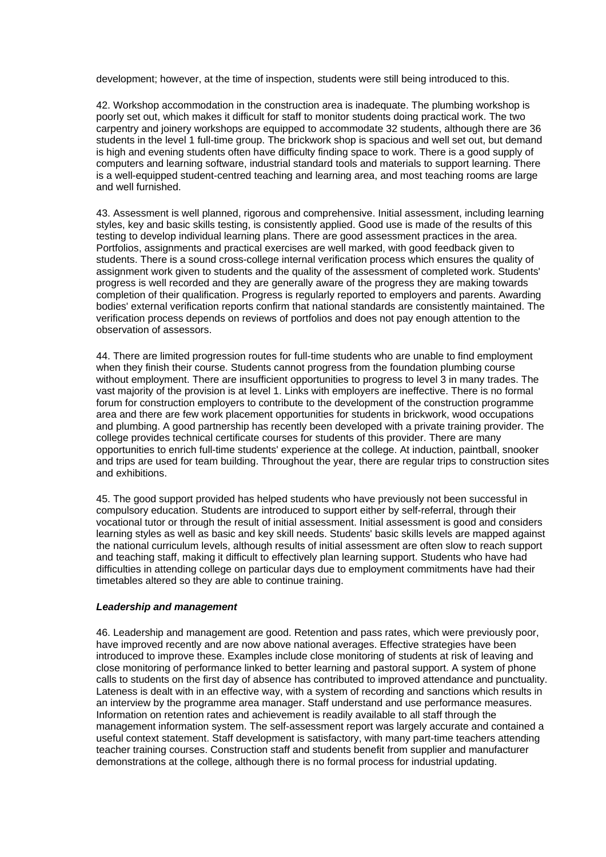development; however, at the time of inspection, students were still being introduced to this.

42. Workshop accommodation in the construction area is inadequate. The plumbing workshop is poorly set out, which makes it difficult for staff to monitor students doing practical work. The two carpentry and joinery workshops are equipped to accommodate 32 students, although there are 36 students in the level 1 full-time group. The brickwork shop is spacious and well set out, but demand is high and evening students often have difficulty finding space to work. There is a good supply of computers and learning software, industrial standard tools and materials to support learning. There is a well-equipped student-centred teaching and learning area, and most teaching rooms are large and well furnished.

43. Assessment is well planned, rigorous and comprehensive. Initial assessment, including learning styles, key and basic skills testing, is consistently applied. Good use is made of the results of this testing to develop individual learning plans. There are good assessment practices in the area. Portfolios, assignments and practical exercises are well marked, with good feedback given to students. There is a sound cross-college internal verification process which ensures the quality of assignment work given to students and the quality of the assessment of completed work. Students' progress is well recorded and they are generally aware of the progress they are making towards completion of their qualification. Progress is regularly reported to employers and parents. Awarding bodies' external verification reports confirm that national standards are consistently maintained. The verification process depends on reviews of portfolios and does not pay enough attention to the observation of assessors.

44. There are limited progression routes for full-time students who are unable to find employment when they finish their course. Students cannot progress from the foundation plumbing course without employment. There are insufficient opportunities to progress to level 3 in many trades. The vast majority of the provision is at level 1. Links with employers are ineffective. There is no formal forum for construction employers to contribute to the development of the construction programme area and there are few work placement opportunities for students in brickwork, wood occupations and plumbing. A good partnership has recently been developed with a private training provider. The college provides technical certificate courses for students of this provider. There are many opportunities to enrich full-time students' experience at the college. At induction, paintball, snooker and trips are used for team building. Throughout the year, there are regular trips to construction sites and exhibitions.

45. The good support provided has helped students who have previously not been successful in compulsory education. Students are introduced to support either by self-referral, through their vocational tutor or through the result of initial assessment. Initial assessment is good and considers learning styles as well as basic and key skill needs. Students' basic skills levels are mapped against the national curriculum levels, although results of initial assessment are often slow to reach support and teaching staff, making it difficult to effectively plan learning support. Students who have had difficulties in attending college on particular days due to employment commitments have had their timetables altered so they are able to continue training.

## *Leadership and management*

46. Leadership and management are good. Retention and pass rates, which were previously poor, have improved recently and are now above national averages. Effective strategies have been introduced to improve these. Examples include close monitoring of students at risk of leaving and close monitoring of performance linked to better learning and pastoral support. A system of phone calls to students on the first day of absence has contributed to improved attendance and punctuality. Lateness is dealt with in an effective way, with a system of recording and sanctions which results in an interview by the programme area manager. Staff understand and use performance measures. Information on retention rates and achievement is readily available to all staff through the management information system. The self-assessment report was largely accurate and contained a useful context statement. Staff development is satisfactory, with many part-time teachers attending teacher training courses. Construction staff and students benefit from supplier and manufacturer demonstrations at the college, although there is no formal process for industrial updating.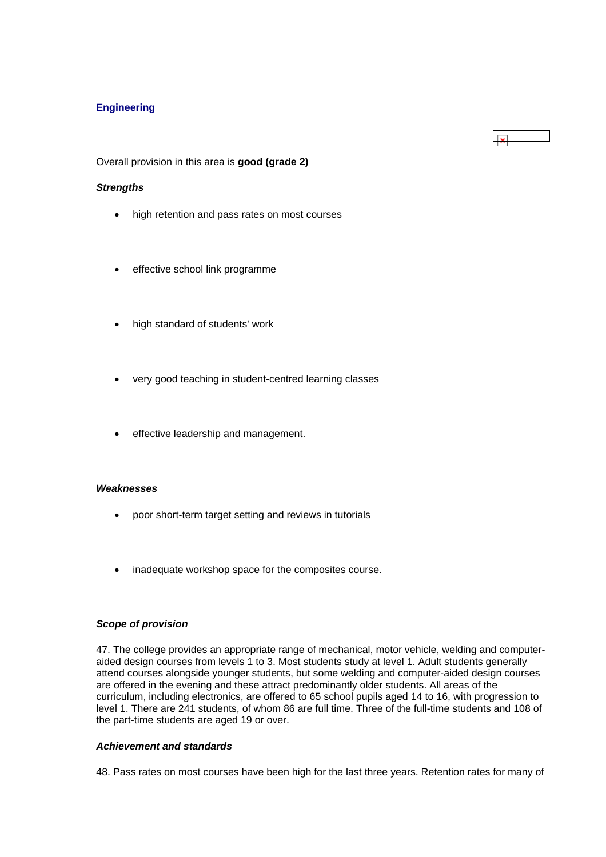## <span id="page-17-0"></span>**Engineering**

Overall provision in this area is **good (grade 2)**

## *Strengths*

• high retention and pass rates on most courses

 $\mathbf{r}$ 

- effective school link programme
- high standard of students' work
- very good teaching in student-centred learning classes
- effective leadership and management.

## *Weaknesses*

- poor short-term target setting and reviews in tutorials
- inadequate workshop space for the composites course.

## *Scope of provision*

47. The college provides an appropriate range of mechanical, motor vehicle, welding and computeraided design courses from levels 1 to 3. Most students study at level 1. Adult students generally attend courses alongside younger students, but some welding and computer-aided design courses are offered in the evening and these attract predominantly older students. All areas of the curriculum, including electronics, are offered to 65 school pupils aged 14 to 16, with progression to level 1. There are 241 students, of whom 86 are full time. Three of the full-time students and 108 of the part-time students are aged 19 or over.

## *Achievement and standards*

48. Pass rates on most courses have been high for the last three years. Retention rates for many of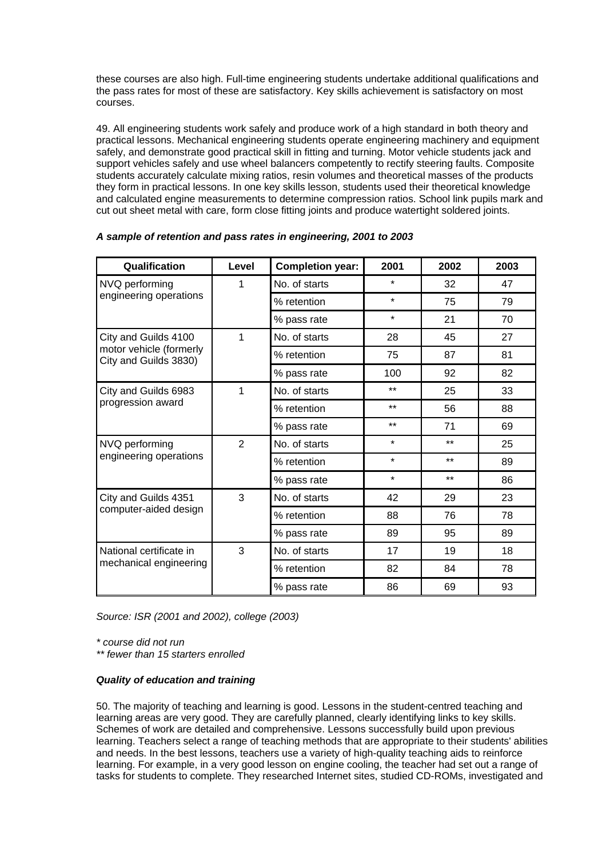these courses are also high. Full-time engineering students undertake additional qualifications and the pass rates for most of these are satisfactory. Key skills achievement is satisfactory on most courses.

49. All engineering students work safely and produce work of a high standard in both theory and practical lessons. Mechanical engineering students operate engineering machinery and equipment safely, and demonstrate good practical skill in fitting and turning. Motor vehicle students jack and support vehicles safely and use wheel balancers competently to rectify steering faults. Composite students accurately calculate mixing ratios, resin volumes and theoretical masses of the products they form in practical lessons. In one key skills lesson, students used their theoretical knowledge and calculated engine measurements to determine compression ratios. School link pupils mark and cut out sheet metal with care, form close fitting joints and produce watertight soldered joints.

| Qualification                                    | Level          | <b>Completion year:</b> | 2001    | 2002  | 2003 |  |
|--------------------------------------------------|----------------|-------------------------|---------|-------|------|--|
| NVQ performing                                   | 1              | No. of starts           | $\star$ | 32    | 47   |  |
| engineering operations                           |                | % retention             | $\star$ | 75    | 79   |  |
|                                                  |                | % pass rate             | $\star$ | 21    | 70   |  |
| City and Guilds 4100                             | 1              | No. of starts           | 28      | 45    | 27   |  |
| motor vehicle (formerly<br>City and Guilds 3830) |                | % retention             | 75      | 87    | 81   |  |
|                                                  |                | % pass rate             | 100     | 92    | 82   |  |
| City and Guilds 6983                             | 1              | No. of starts           | $***$   | 25    | 33   |  |
| progression award                                |                | % retention             | $***$   | 56    | 88   |  |
|                                                  |                | % pass rate             | $***$   | 71    | 69   |  |
| NVQ performing                                   | $\overline{2}$ | No. of starts           | $\star$ | $***$ | 25   |  |
| engineering operations                           |                | % retention             | $\star$ | $***$ | 89   |  |
|                                                  |                | % pass rate             | $\star$ | $***$ | 86   |  |
| City and Guilds 4351                             | 3              | No. of starts           | 42      | 29    | 23   |  |
| computer-aided design                            |                | % retention             | 88      | 76    | 78   |  |
|                                                  |                | % pass rate             | 89      | 95    | 89   |  |
| National certificate in                          | 3              | No. of starts           | 17      | 19    | 18   |  |
| mechanical engineering                           |                | % retention             | 82      | 84    | 78   |  |
|                                                  |                | % pass rate             | 86      | 69    | 93   |  |

| A sample of retention and pass rates in engineering, 2001 to 2003 |  |  |  |
|-------------------------------------------------------------------|--|--|--|
|-------------------------------------------------------------------|--|--|--|

*Source: ISR (2001 and 2002), college (2003)*

*\* course did not run* 

*\*\* fewer than 15 starters enrolled*

## *Quality of education and training*

50. The majority of teaching and learning is good. Lessons in the student-centred teaching and learning areas are very good. They are carefully planned, clearly identifying links to key skills. Schemes of work are detailed and comprehensive. Lessons successfully build upon previous learning. Teachers select a range of teaching methods that are appropriate to their students' abilities and needs. In the best lessons, teachers use a variety of high-quality teaching aids to reinforce learning. For example, in a very good lesson on engine cooling, the teacher had set out a range of tasks for students to complete. They researched Internet sites, studied CD-ROMs, investigated and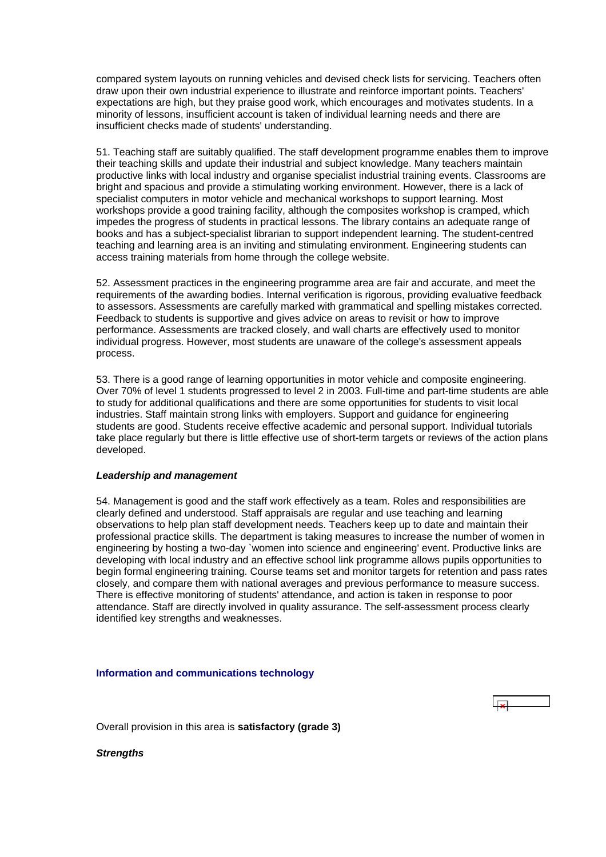<span id="page-19-0"></span>compared system layouts on running vehicles and devised check lists for servicing. Teachers often draw upon their own industrial experience to illustrate and reinforce important points. Teachers' expectations are high, but they praise good work, which encourages and motivates students. In a minority of lessons, insufficient account is taken of individual learning needs and there are insufficient checks made of students' understanding.

51. Teaching staff are suitably qualified. The staff development programme enables them to improve their teaching skills and update their industrial and subject knowledge. Many teachers maintain productive links with local industry and organise specialist industrial training events. Classrooms are bright and spacious and provide a stimulating working environment. However, there is a lack of specialist computers in motor vehicle and mechanical workshops to support learning. Most workshops provide a good training facility, although the composites workshop is cramped, which impedes the progress of students in practical lessons. The library contains an adequate range of books and has a subject-specialist librarian to support independent learning. The student-centred teaching and learning area is an inviting and stimulating environment. Engineering students can access training materials from home through the college website.

52. Assessment practices in the engineering programme area are fair and accurate, and meet the requirements of the awarding bodies. Internal verification is rigorous, providing evaluative feedback to assessors. Assessments are carefully marked with grammatical and spelling mistakes corrected. Feedback to students is supportive and gives advice on areas to revisit or how to improve performance. Assessments are tracked closely, and wall charts are effectively used to monitor individual progress. However, most students are unaware of the college's assessment appeals process.

53. There is a good range of learning opportunities in motor vehicle and composite engineering. Over 70% of level 1 students progressed to level 2 in 2003. Full-time and part-time students are able to study for additional qualifications and there are some opportunities for students to visit local industries. Staff maintain strong links with employers. Support and guidance for engineering students are good. Students receive effective academic and personal support. Individual tutorials take place regularly but there is little effective use of short-term targets or reviews of the action plans developed.

## *Leadership and management*

54. Management is good and the staff work effectively as a team. Roles and responsibilities are clearly defined and understood. Staff appraisals are regular and use teaching and learning observations to help plan staff development needs. Teachers keep up to date and maintain their professional practice skills. The department is taking measures to increase the number of women in engineering by hosting a two-day `women into science and engineering' event. Productive links are developing with local industry and an effective school link programme allows pupils opportunities to begin formal engineering training. Course teams set and monitor targets for retention and pass rates closely, and compare them with national averages and previous performance to measure success. There is effective monitoring of students' attendance, and action is taken in response to poor attendance. Staff are directly involved in quality assurance. The self-assessment process clearly identified key strengths and weaknesses.

#### **Information and communications technology**

Overall provision in this area is **satisfactory (grade 3)**

*Strengths*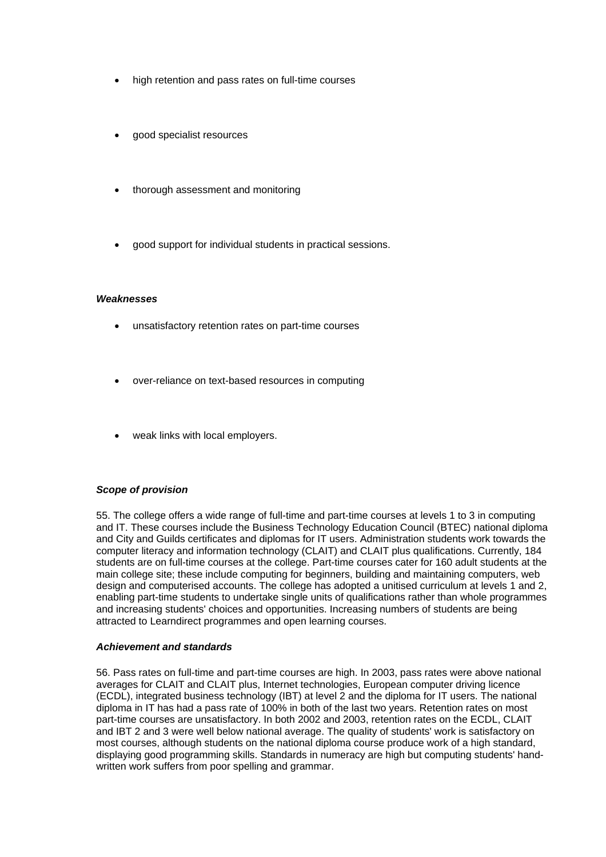- high retention and pass rates on full-time courses
- good specialist resources
- thorough assessment and monitoring
- good support for individual students in practical sessions.

#### *Weaknesses*

- unsatisfactory retention rates on part-time courses
- over-reliance on text-based resources in computing
- weak links with local employers.

## *Scope of provision*

55. The college offers a wide range of full-time and part-time courses at levels 1 to 3 in computing and IT. These courses include the Business Technology Education Council (BTEC) national diploma and City and Guilds certificates and diplomas for IT users. Administration students work towards the computer literacy and information technology (CLAIT) and CLAIT plus qualifications. Currently, 184 students are on full-time courses at the college. Part-time courses cater for 160 adult students at the main college site; these include computing for beginners, building and maintaining computers, web design and computerised accounts. The college has adopted a unitised curriculum at levels 1 and 2, enabling part-time students to undertake single units of qualifications rather than whole programmes and increasing students' choices and opportunities. Increasing numbers of students are being attracted to Learndirect programmes and open learning courses.

## *Achievement and standards*

56. Pass rates on full-time and part-time courses are high. In 2003, pass rates were above national averages for CLAIT and CLAIT plus, Internet technologies, European computer driving licence (ECDL), integrated business technology (IBT) at level 2 and the diploma for IT users. The national diploma in IT has had a pass rate of 100% in both of the last two years. Retention rates on most part-time courses are unsatisfactory. In both 2002 and 2003, retention rates on the ECDL, CLAIT and IBT 2 and 3 were well below national average. The quality of students' work is satisfactory on most courses, although students on the national diploma course produce work of a high standard, displaying good programming skills. Standards in numeracy are high but computing students' handwritten work suffers from poor spelling and grammar.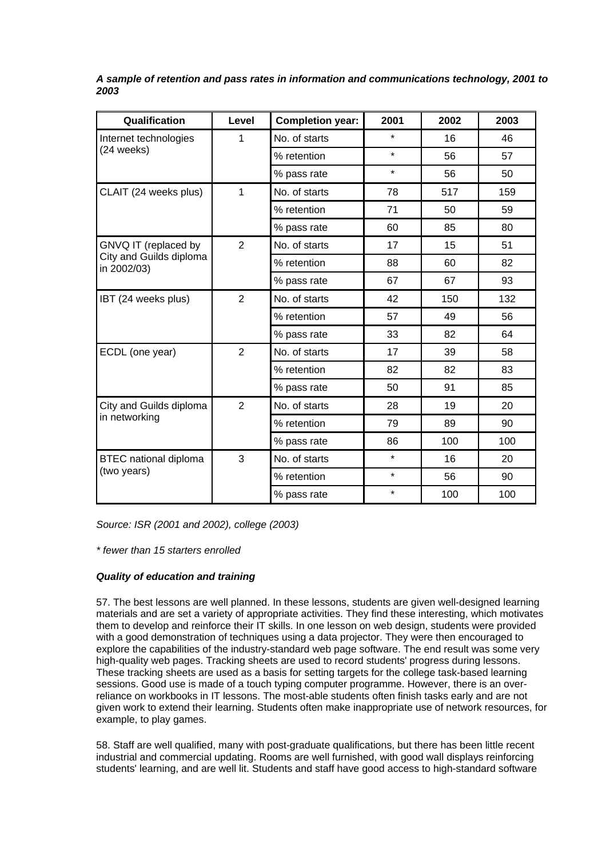| Qualification                          | <b>Completion year:</b><br>Level |               | 2001    | 2002 | 2003 |
|----------------------------------------|----------------------------------|---------------|---------|------|------|
| Internet technologies                  | 1                                | No. of starts | $\star$ | 16   | 46   |
| (24 weeks)                             |                                  | % retention   | $\star$ | 56   | 57   |
|                                        |                                  | % pass rate   | $\star$ | 56   | 50   |
| CLAIT (24 weeks plus)                  | 1                                | No. of starts | 78      | 517  | 159  |
|                                        |                                  | % retention   | 71      | 50   | 59   |
|                                        |                                  | % pass rate   | 60      | 85   | 80   |
| GNVQ IT (replaced by                   | 2                                | No. of starts | 17      | 15   | 51   |
| City and Guilds diploma<br>in 2002/03) |                                  | % retention   | 88      | 60   | 82   |
|                                        |                                  | % pass rate   | 67      | 67   | 93   |
| IBT (24 weeks plus)                    | $\overline{2}$                   | No. of starts | 42      | 150  | 132  |
|                                        |                                  | % retention   | 57      | 49   | 56   |
|                                        |                                  | % pass rate   | 33      | 82   | 64   |
| ECDL (one year)                        | $\overline{2}$                   | No. of starts | 17      | 39   | 58   |
|                                        |                                  | % retention   | 82      | 82   | 83   |
|                                        |                                  | % pass rate   | 50      | 91   | 85   |
| City and Guilds diploma                | $\overline{2}$                   | No. of starts | 28      | 19   | 20   |
| in networking                          |                                  | % retention   | 79      | 89   | 90   |
|                                        |                                  | % pass rate   | 86      | 100  | 100  |
| <b>BTEC</b> national diploma           | 3                                | No. of starts | $\star$ | 16   | 20   |
| (two years)                            |                                  | % retention   | ¥       | 56   | 90   |
|                                        |                                  | % pass rate   | $\star$ | 100  | 100  |

*A sample of retention and pass rates in information and communications technology, 2001 to 2003*

*Source: ISR (2001 and 2002), college (2003)*

*\* fewer than 15 starters enrolled*

## *Quality of education and training*

57. The best lessons are well planned. In these lessons, students are given well-designed learning materials and are set a variety of appropriate activities. They find these interesting, which motivates them to develop and reinforce their IT skills. In one lesson on web design, students were provided with a good demonstration of techniques using a data projector. They were then encouraged to explore the capabilities of the industry-standard web page software. The end result was some very high-quality web pages. Tracking sheets are used to record students' progress during lessons. These tracking sheets are used as a basis for setting targets for the college task-based learning sessions. Good use is made of a touch typing computer programme. However, there is an overreliance on workbooks in IT lessons. The most-able students often finish tasks early and are not given work to extend their learning. Students often make inappropriate use of network resources, for example, to play games.

58. Staff are well qualified, many with post-graduate qualifications, but there has been little recent industrial and commercial updating. Rooms are well furnished, with good wall displays reinforcing students' learning, and are well lit. Students and staff have good access to high-standard software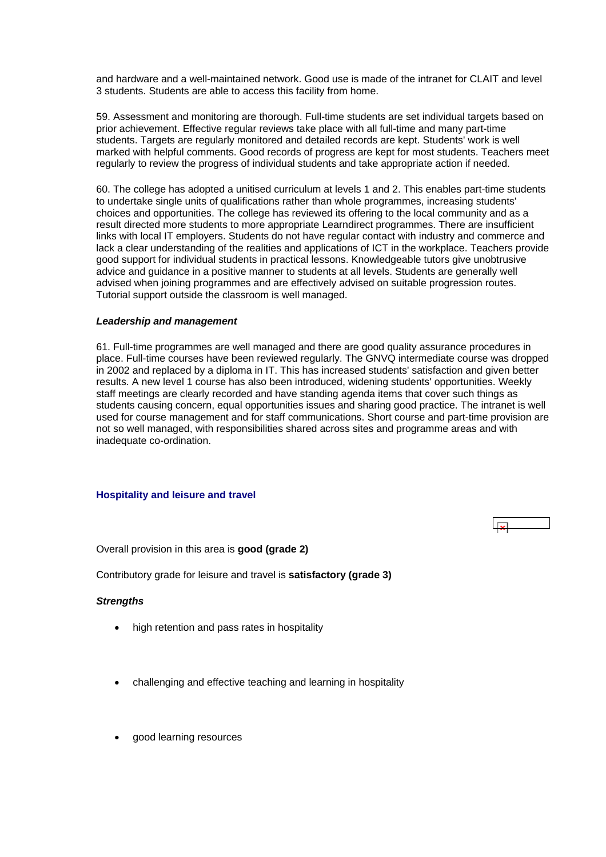<span id="page-22-0"></span>and hardware and a well-maintained network. Good use is made of the intranet for CLAIT and level 3 students. Students are able to access this facility from home.

59. Assessment and monitoring are thorough. Full-time students are set individual targets based on prior achievement. Effective regular reviews take place with all full-time and many part-time students. Targets are regularly monitored and detailed records are kept. Students' work is well marked with helpful comments. Good records of progress are kept for most students. Teachers meet regularly to review the progress of individual students and take appropriate action if needed.

60. The college has adopted a unitised curriculum at levels 1 and 2. This enables part-time students to undertake single units of qualifications rather than whole programmes, increasing students' choices and opportunities. The college has reviewed its offering to the local community and as a result directed more students to more appropriate Learndirect programmes. There are insufficient links with local IT employers. Students do not have regular contact with industry and commerce and lack a clear understanding of the realities and applications of ICT in the workplace. Teachers provide good support for individual students in practical lessons. Knowledgeable tutors give unobtrusive advice and guidance in a positive manner to students at all levels. Students are generally well advised when joining programmes and are effectively advised on suitable progression routes. Tutorial support outside the classroom is well managed.

## *Leadership and management*

61. Full-time programmes are well managed and there are good quality assurance procedures in place. Full-time courses have been reviewed regularly. The GNVQ intermediate course was dropped in 2002 and replaced by a diploma in IT. This has increased students' satisfaction and given better results. A new level 1 course has also been introduced, widening students' opportunities. Weekly staff meetings are clearly recorded and have standing agenda items that cover such things as students causing concern, equal opportunities issues and sharing good practice. The intranet is well used for course management and for staff communications. Short course and part-time provision are not so well managed, with responsibilities shared across sites and programme areas and with inadequate co-ordination.

## **Hospitality and leisure and travel**

Overall provision in this area is **good (grade 2)**

Contributory grade for leisure and travel is **satisfactory (grade 3)**

## *Strengths*

- high retention and pass rates in hospitality
- challenging and effective teaching and learning in hospitality
- good learning resources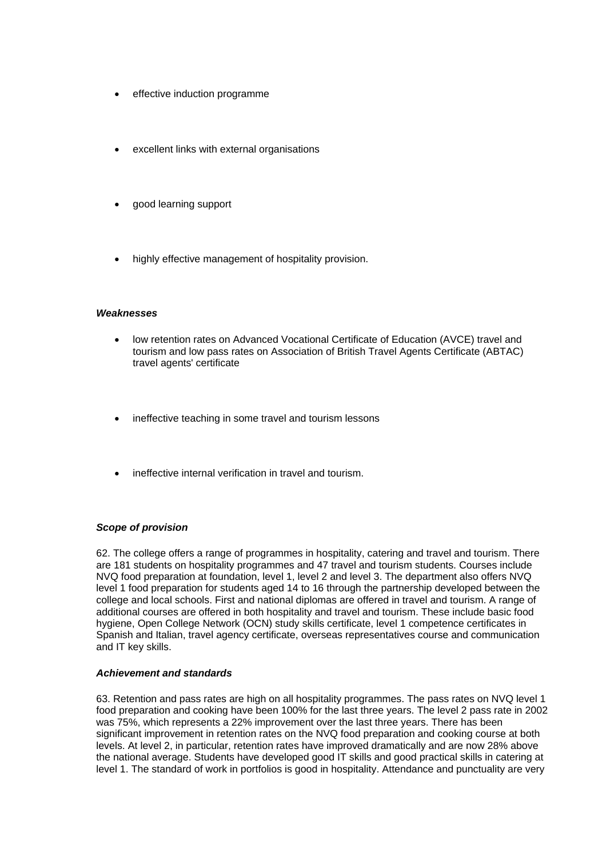- effective induction programme
- excellent links with external organisations
- good learning support
- highly effective management of hospitality provision.

## *Weaknesses*

- low retention rates on Advanced Vocational Certificate of Education (AVCE) travel and tourism and low pass rates on Association of British Travel Agents Certificate (ABTAC) travel agents' certificate
- ineffective teaching in some travel and tourism lessons
- ineffective internal verification in travel and tourism.

## *Scope of provision*

62. The college offers a range of programmes in hospitality, catering and travel and tourism. There are 181 students on hospitality programmes and 47 travel and tourism students. Courses include NVQ food preparation at foundation, level 1, level 2 and level 3. The department also offers NVQ level 1 food preparation for students aged 14 to 16 through the partnership developed between the college and local schools. First and national diplomas are offered in travel and tourism. A range of additional courses are offered in both hospitality and travel and tourism. These include basic food hygiene, Open College Network (OCN) study skills certificate, level 1 competence certificates in Spanish and Italian, travel agency certificate, overseas representatives course and communication and IT key skills.

## *Achievement and standards*

63. Retention and pass rates are high on all hospitality programmes. The pass rates on NVQ level 1 food preparation and cooking have been 100% for the last three years. The level 2 pass rate in 2002 was 75%, which represents a 22% improvement over the last three years. There has been significant improvement in retention rates on the NVQ food preparation and cooking course at both levels. At level 2, in particular, retention rates have improved dramatically and are now 28% above the national average. Students have developed good IT skills and good practical skills in catering at level 1. The standard of work in portfolios is good in hospitality. Attendance and punctuality are very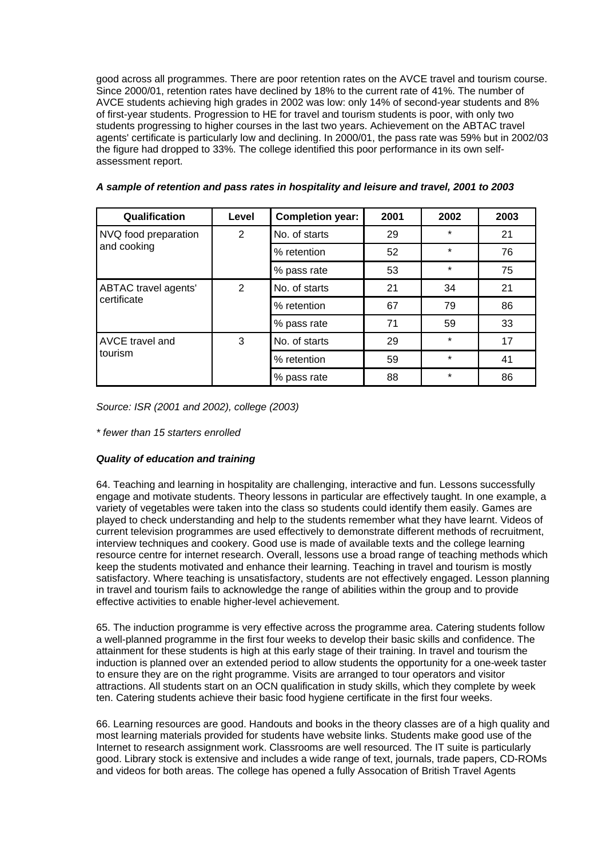good across all programmes. There are poor retention rates on the AVCE travel and tourism course. Since 2000/01, retention rates have declined by 18% to the current rate of 41%. The number of AVCE students achieving high grades in 2002 was low: only 14% of second-year students and 8% of first-year students. Progression to HE for travel and tourism students is poor, with only two students progressing to higher courses in the last two years. Achievement on the ABTAC travel agents' certificate is particularly low and declining. In 2000/01, the pass rate was 59% but in 2002/03 the figure had dropped to 33%. The college identified this poor performance in its own selfassessment report.

| Qualification        | Level                           | <b>Completion year:</b> | 2001 | 2002    | 2003 |
|----------------------|---------------------------------|-------------------------|------|---------|------|
| NVQ food preparation | No. of starts<br>$\overline{2}$ |                         | 29   | $\ast$  | 21   |
| and cooking          |                                 | % retention             | 52   | $\star$ | 76   |
|                      |                                 | % pass rate             | 53   | $\star$ | 75   |
| ABTAC travel agents' | 2                               | No. of starts           | 21   | 34      | 21   |
| certificate          |                                 | % retention             | 67   | 79      | 86   |
|                      |                                 | % pass rate             | 71   | 59      | 33   |
| AVCE travel and      | 3                               | No. of starts           | 29   | $\star$ | 17   |
| tourism              |                                 | % retention             | 59   | $\star$ | 41   |
|                      |                                 | % pass rate             | 88   | $\star$ | 86   |

| A sample of retention and pass rates in hospitality and leisure and travel, 2001 to 2003 |  |  |  |
|------------------------------------------------------------------------------------------|--|--|--|
|------------------------------------------------------------------------------------------|--|--|--|

*Source: ISR (2001 and 2002), college (2003)*

*\* fewer than 15 starters enrolled*

## *Quality of education and training*

64. Teaching and learning in hospitality are challenging, interactive and fun. Lessons successfully engage and motivate students. Theory lessons in particular are effectively taught. In one example, a variety of vegetables were taken into the class so students could identify them easily. Games are played to check understanding and help to the students remember what they have learnt. Videos of current television programmes are used effectively to demonstrate different methods of recruitment, interview techniques and cookery. Good use is made of available texts and the college learning resource centre for internet research. Overall, lessons use a broad range of teaching methods which keep the students motivated and enhance their learning. Teaching in travel and tourism is mostly satisfactory. Where teaching is unsatisfactory, students are not effectively engaged. Lesson planning in travel and tourism fails to acknowledge the range of abilities within the group and to provide effective activities to enable higher-level achievement.

65. The induction programme is very effective across the programme area. Catering students follow a well-planned programme in the first four weeks to develop their basic skills and confidence. The attainment for these students is high at this early stage of their training. In travel and tourism the induction is planned over an extended period to allow students the opportunity for a one-week taster to ensure they are on the right programme. Visits are arranged to tour operators and visitor attractions. All students start on an OCN qualification in study skills, which they complete by week ten. Catering students achieve their basic food hygiene certificate in the first four weeks.

66. Learning resources are good. Handouts and books in the theory classes are of a high quality and most learning materials provided for students have website links. Students make good use of the Internet to research assignment work. Classrooms are well resourced. The IT suite is particularly good. Library stock is extensive and includes a wide range of text, journals, trade papers, CD-ROMs and videos for both areas. The college has opened a fully Assocation of British Travel Agents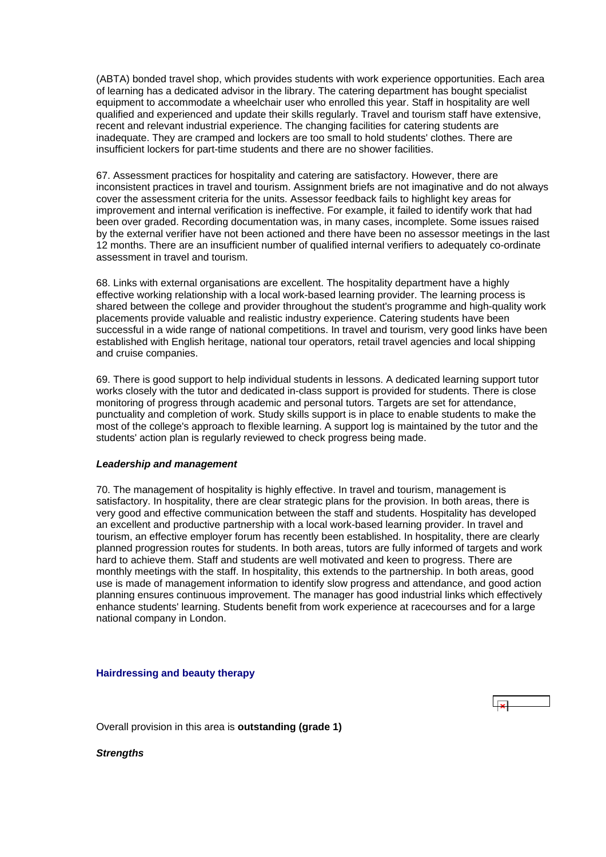<span id="page-25-0"></span>(ABTA) bonded travel shop, which provides students with work experience opportunities. Each area of learning has a dedicated advisor in the library. The catering department has bought specialist equipment to accommodate a wheelchair user who enrolled this year. Staff in hospitality are well qualified and experienced and update their skills regularly. Travel and tourism staff have extensive, recent and relevant industrial experience. The changing facilities for catering students are inadequate. They are cramped and lockers are too small to hold students' clothes. There are insufficient lockers for part-time students and there are no shower facilities.

67. Assessment practices for hospitality and catering are satisfactory. However, there are inconsistent practices in travel and tourism. Assignment briefs are not imaginative and do not always cover the assessment criteria for the units. Assessor feedback fails to highlight key areas for improvement and internal verification is ineffective. For example, it failed to identify work that had been over graded. Recording documentation was, in many cases, incomplete. Some issues raised by the external verifier have not been actioned and there have been no assessor meetings in the last 12 months. There are an insufficient number of qualified internal verifiers to adequately co-ordinate assessment in travel and tourism.

68. Links with external organisations are excellent. The hospitality department have a highly effective working relationship with a local work-based learning provider. The learning process is shared between the college and provider throughout the student's programme and high-quality work placements provide valuable and realistic industry experience. Catering students have been successful in a wide range of national competitions. In travel and tourism, very good links have been established with English heritage, national tour operators, retail travel agencies and local shipping and cruise companies.

69. There is good support to help individual students in lessons. A dedicated learning support tutor works closely with the tutor and dedicated in-class support is provided for students. There is close monitoring of progress through academic and personal tutors. Targets are set for attendance, punctuality and completion of work. Study skills support is in place to enable students to make the most of the college's approach to flexible learning. A support log is maintained by the tutor and the students' action plan is regularly reviewed to check progress being made.

## *Leadership and management*

70. The management of hospitality is highly effective. In travel and tourism, management is satisfactory. In hospitality, there are clear strategic plans for the provision. In both areas, there is very good and effective communication between the staff and students. Hospitality has developed an excellent and productive partnership with a local work-based learning provider. In travel and tourism, an effective employer forum has recently been established. In hospitality, there are clearly planned progression routes for students. In both areas, tutors are fully informed of targets and work hard to achieve them. Staff and students are well motivated and keen to progress. There are monthly meetings with the staff. In hospitality, this extends to the partnership. In both areas, good use is made of management information to identify slow progress and attendance, and good action planning ensures continuous improvement. The manager has good industrial links which effectively enhance students' learning. Students benefit from work experience at racecourses and for a large national company in London.

## **Hairdressing and beauty therapy**

Overall provision in this area is **outstanding (grade 1)**

*Strengths*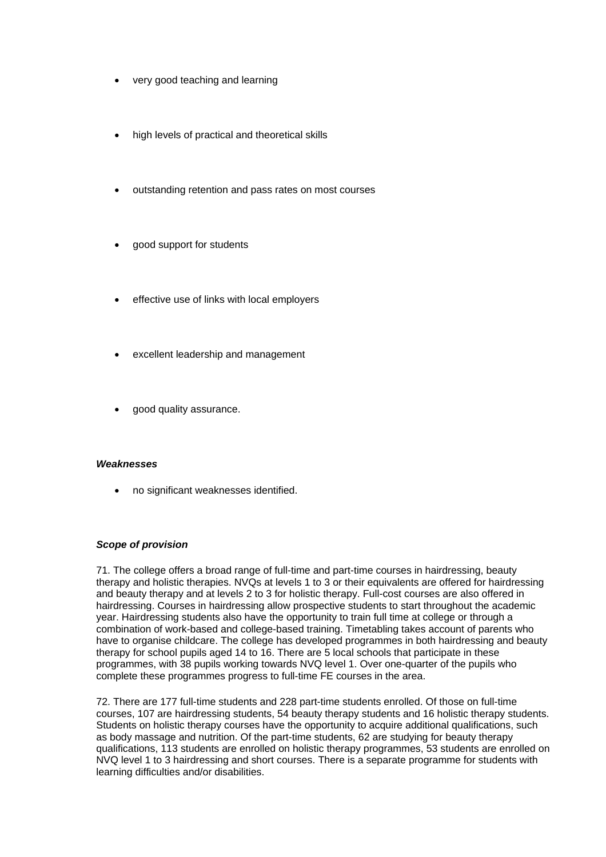- very good teaching and learning
- high levels of practical and theoretical skills
- outstanding retention and pass rates on most courses
- good support for students
- effective use of links with local employers
- excellent leadership and management
- good quality assurance.

## *Weaknesses*

• no significant weaknesses identified.

## *Scope of provision*

71. The college offers a broad range of full-time and part-time courses in hairdressing, beauty therapy and holistic therapies. NVQs at levels 1 to 3 or their equivalents are offered for hairdressing and beauty therapy and at levels 2 to 3 for holistic therapy. Full-cost courses are also offered in hairdressing. Courses in hairdressing allow prospective students to start throughout the academic year. Hairdressing students also have the opportunity to train full time at college or through a combination of work-based and college-based training. Timetabling takes account of parents who have to organise childcare. The college has developed programmes in both hairdressing and beauty therapy for school pupils aged 14 to 16. There are 5 local schools that participate in these programmes, with 38 pupils working towards NVQ level 1. Over one-quarter of the pupils who complete these programmes progress to full-time FE courses in the area.

72. There are 177 full-time students and 228 part-time students enrolled. Of those on full-time courses, 107 are hairdressing students, 54 beauty therapy students and 16 holistic therapy students. Students on holistic therapy courses have the opportunity to acquire additional qualifications, such as body massage and nutrition. Of the part-time students, 62 are studying for beauty therapy qualifications, 113 students are enrolled on holistic therapy programmes, 53 students are enrolled on NVQ level 1 to 3 hairdressing and short courses. There is a separate programme for students with learning difficulties and/or disabilities.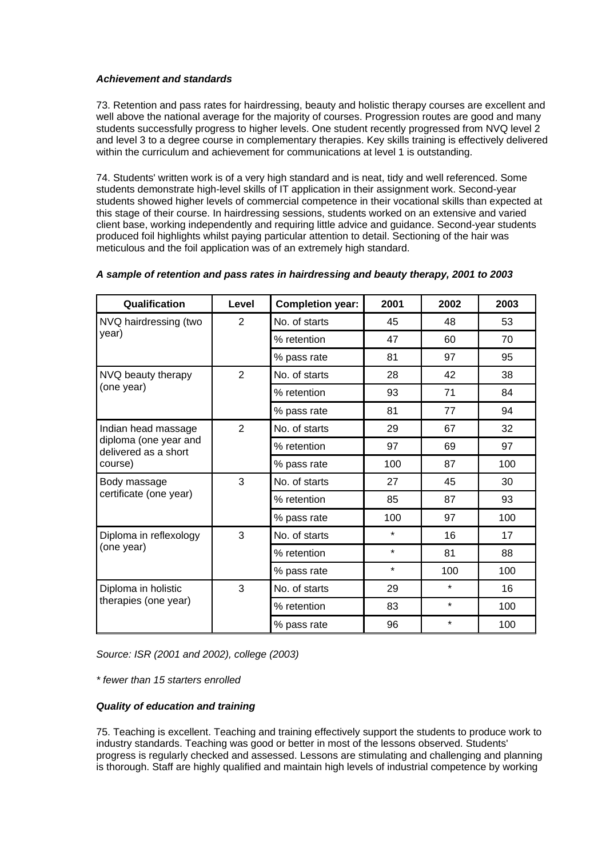## *Achievement and standards*

73. Retention and pass rates for hairdressing, beauty and holistic therapy courses are excellent and well above the national average for the majority of courses. Progression routes are good and many students successfully progress to higher levels. One student recently progressed from NVQ level 2 and level 3 to a degree course in complementary therapies. Key skills training is effectively delivered within the curriculum and achievement for communications at level 1 is outstanding.

74. Students' written work is of a very high standard and is neat, tidy and well referenced. Some students demonstrate high-level skills of IT application in their assignment work. Second-year students showed higher levels of commercial competence in their vocational skills than expected at this stage of their course. In hairdressing sessions, students worked on an extensive and varied client base, working independently and requiring little advice and guidance. Second-year students produced foil highlights whilst paying particular attention to detail. Sectioning of the hair was meticulous and the foil application was of an extremely high standard.

| Qualification                                 | Level          | <b>Completion year:</b> | 2001    | 2002    | 2003 |
|-----------------------------------------------|----------------|-------------------------|---------|---------|------|
| NVQ hairdressing (two                         | $\overline{2}$ | No. of starts           | 45      | 48      | 53   |
| year)                                         |                | % retention             | 47      | 60      | 70   |
|                                               |                | % pass rate             | 81      | 97      | 95   |
| NVQ beauty therapy                            | $\overline{2}$ | No. of starts           | 28      | 42      | 38   |
| (one year)                                    |                | % retention             | 93      | 71      | 84   |
|                                               |                | % pass rate             | 81      | 77      | 94   |
| Indian head massage                           | $\overline{2}$ | No. of starts           | 29      | 67      | 32   |
| diploma (one year and<br>delivered as a short |                | % retention             | 97      | 69      | 97   |
| course)                                       |                | % pass rate             | 100     | 87      | 100  |
| Body massage                                  | 3              | No. of starts           | 27      | 45      | 30   |
| certificate (one year)                        |                | % retention             | 85      | 87      | 93   |
|                                               |                | % pass rate             | 100     | 97      | 100  |
| Diploma in reflexology                        | 3              | No. of starts           | $\star$ | 16      | 17   |
| (one year)                                    |                | % retention             | $\star$ | 81      | 88   |
|                                               |                | % pass rate             | $\star$ | 100     | 100  |
| Diploma in holistic<br>therapies (one year)   | 3              | No. of starts           | 29      | $\star$ | 16   |
|                                               |                | % retention             | 83      | $\star$ | 100  |
|                                               |                | % pass rate             | 96      | $\star$ | 100  |

## *A sample of retention and pass rates in hairdressing and beauty therapy, 2001 to 2003*

*Source: ISR (2001 and 2002), college (2003)*

*\* fewer than 15 starters enrolled*

## *Quality of education and training*

75. Teaching is excellent. Teaching and training effectively support the students to produce work to industry standards. Teaching was good or better in most of the lessons observed. Students' progress is regularly checked and assessed. Lessons are stimulating and challenging and planning is thorough. Staff are highly qualified and maintain high levels of industrial competence by working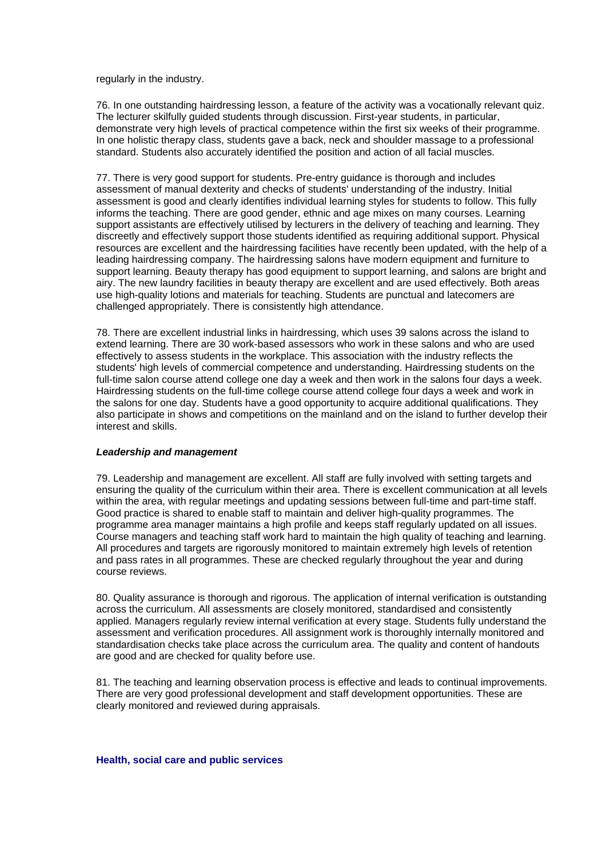<span id="page-28-0"></span>regularly in the industry.

76. In one outstanding hairdressing lesson, a feature of the activity was a vocationally relevant quiz. The lecturer skilfully guided students through discussion. First-year students, in particular, demonstrate very high levels of practical competence within the first six weeks of their programme. In one holistic therapy class, students gave a back, neck and shoulder massage to a professional standard. Students also accurately identified the position and action of all facial muscles.

77. There is very good support for students. Pre-entry guidance is thorough and includes assessment of manual dexterity and checks of students' understanding of the industry. Initial assessment is good and clearly identifies individual learning styles for students to follow. This fully informs the teaching. There are good gender, ethnic and age mixes on many courses. Learning support assistants are effectively utilised by lecturers in the delivery of teaching and learning. They discreetly and effectively support those students identified as requiring additional support. Physical resources are excellent and the hairdressing facilities have recently been updated, with the help of a leading hairdressing company. The hairdressing salons have modern equipment and furniture to support learning. Beauty therapy has good equipment to support learning, and salons are bright and airy. The new laundry facilities in beauty therapy are excellent and are used effectively. Both areas use high-quality lotions and materials for teaching. Students are punctual and latecomers are challenged appropriately. There is consistently high attendance.

78. There are excellent industrial links in hairdressing, which uses 39 salons across the island to extend learning. There are 30 work-based assessors who work in these salons and who are used effectively to assess students in the workplace. This association with the industry reflects the students' high levels of commercial competence and understanding. Hairdressing students on the full-time salon course attend college one day a week and then work in the salons four days a week. Hairdressing students on the full-time college course attend college four days a week and work in the salons for one day. Students have a good opportunity to acquire additional qualifications. They also participate in shows and competitions on the mainland and on the island to further develop their interest and skills.

## *Leadership and management*

79. Leadership and management are excellent. All staff are fully involved with setting targets and ensuring the quality of the curriculum within their area. There is excellent communication at all levels within the area, with regular meetings and updating sessions between full-time and part-time staff. Good practice is shared to enable staff to maintain and deliver high-quality programmes. The programme area manager maintains a high profile and keeps staff regularly updated on all issues. Course managers and teaching staff work hard to maintain the high quality of teaching and learning. All procedures and targets are rigorously monitored to maintain extremely high levels of retention and pass rates in all programmes. These are checked regularly throughout the year and during course reviews.

80. Quality assurance is thorough and rigorous. The application of internal verification is outstanding across the curriculum. All assessments are closely monitored, standardised and consistently applied. Managers regularly review internal verification at every stage. Students fully understand the assessment and verification procedures. All assignment work is thoroughly internally monitored and standardisation checks take place across the curriculum area. The quality and content of handouts are good and are checked for quality before use.

81. The teaching and learning observation process is effective and leads to continual improvements. There are very good professional development and staff development opportunities. These are clearly monitored and reviewed during appraisals.

#### **Health, social care and public services**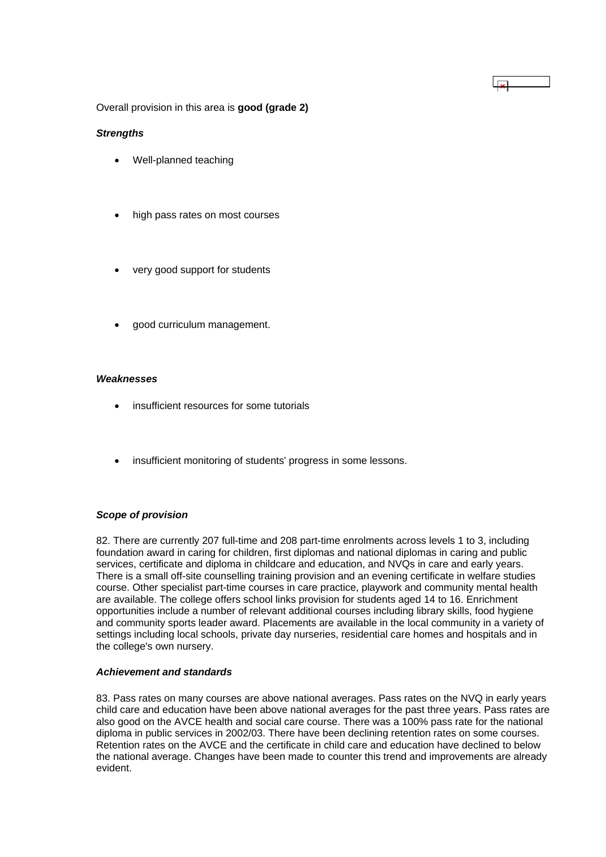Overall provision in this area is **good (grade 2)**

## *Strengths*

- Well-planned teaching
- high pass rates on most courses
- very good support for students
- good curriculum management.

## *Weaknesses*

- insufficient resources for some tutorials
- insufficient monitoring of students' progress in some lessons.

## *Scope of provision*

82. There are currently 207 full-time and 208 part-time enrolments across levels 1 to 3, including foundation award in caring for children, first diplomas and national diplomas in caring and public services, certificate and diploma in childcare and education, and NVQs in care and early years. There is a small off-site counselling training provision and an evening certificate in welfare studies course. Other specialist part-time courses in care practice, playwork and community mental health are available. The college offers school links provision for students aged 14 to 16. Enrichment opportunities include a number of relevant additional courses including library skills, food hygiene and community sports leader award. Placements are available in the local community in a variety of settings including local schools, private day nurseries, residential care homes and hospitals and in the college's own nursery.

 $\overline{\mathbf{z}}$ 

## *Achievement and standards*

83. Pass rates on many courses are above national averages. Pass rates on the NVQ in early years child care and education have been above national averages for the past three years. Pass rates are also good on the AVCE health and social care course. There was a 100% pass rate for the national diploma in public services in 2002/03. There have been declining retention rates on some courses. Retention rates on the AVCE and the certificate in child care and education have declined to below the national average. Changes have been made to counter this trend and improvements are already evident.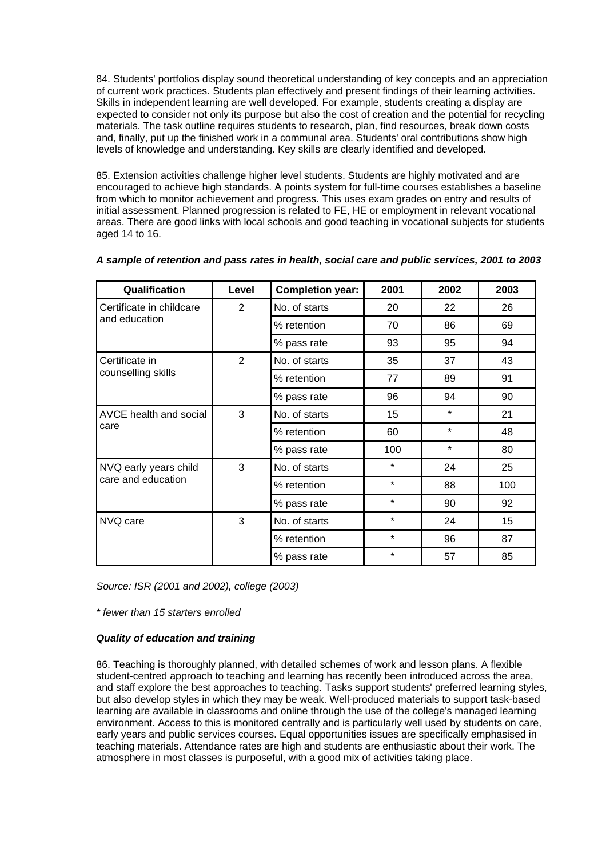84. Students' portfolios display sound theoretical understanding of key concepts and an appreciation of current work practices. Students plan effectively and present findings of their learning activities. Skills in independent learning are well developed. For example, students creating a display are expected to consider not only its purpose but also the cost of creation and the potential for recycling materials. The task outline requires students to research, plan, find resources, break down costs and, finally, put up the finished work in a communal area. Students' oral contributions show high levels of knowledge and understanding. Key skills are clearly identified and developed.

85. Extension activities challenge higher level students. Students are highly motivated and are encouraged to achieve high standards. A points system for full-time courses establishes a baseline from which to monitor achievement and progress. This uses exam grades on entry and results of initial assessment. Planned progression is related to FE, HE or employment in relevant vocational areas. There are good links with local schools and good teaching in vocational subjects for students aged 14 to 16.

| Qualification            | Level | <b>Completion year:</b> | 2001    | 2002    | 2003 |
|--------------------------|-------|-------------------------|---------|---------|------|
| Certificate in childcare | 2     | No. of starts           | 20      | 22      | 26   |
| and education            |       | % retention             | 70      | 86      | 69   |
|                          |       | % pass rate             | 93      | 95      | 94   |
| Certificate in           | 2     | No. of starts           | 35      | 37      | 43   |
| counselling skills       |       | % retention             | 77      | 89      | 91   |
|                          |       | % pass rate             | 96      | 94      | 90   |
| AVCE health and social   | 3     | No. of starts           | 15      | $\star$ | 21   |
| care                     |       | % retention             | 60      | *       | 48   |
|                          |       | % pass rate             | 100     | $\star$ | 80   |
| NVQ early years child    | 3     | No. of starts           | $\star$ | 24      | 25   |
| care and education       |       | % retention             | $\star$ | 88      | 100  |
|                          |       | % pass rate             | $\star$ | 90      | 92   |
| NVQ care                 | 3     | No. of starts           | $\star$ | 24      | 15   |
|                          |       | % retention             | $\star$ | 96      | 87   |
|                          |       | % pass rate             | $\star$ | 57      | 85   |

|  | A sample of retention and pass rates in health, social care and public services, 2001 to 2003 |  |  |
|--|-----------------------------------------------------------------------------------------------|--|--|
|  |                                                                                               |  |  |

*Source: ISR (2001 and 2002), college (2003)*

*\* fewer than 15 starters enrolled*

## *Quality of education and training*

86. Teaching is thoroughly planned, with detailed schemes of work and lesson plans. A flexible student-centred approach to teaching and learning has recently been introduced across the area, and staff explore the best approaches to teaching. Tasks support students' preferred learning styles, but also develop styles in which they may be weak. Well-produced materials to support task-based learning are available in classrooms and online through the use of the college's managed learning environment. Access to this is monitored centrally and is particularly well used by students on care, early years and public services courses. Equal opportunities issues are specifically emphasised in teaching materials. Attendance rates are high and students are enthusiastic about their work. The atmosphere in most classes is purposeful, with a good mix of activities taking place.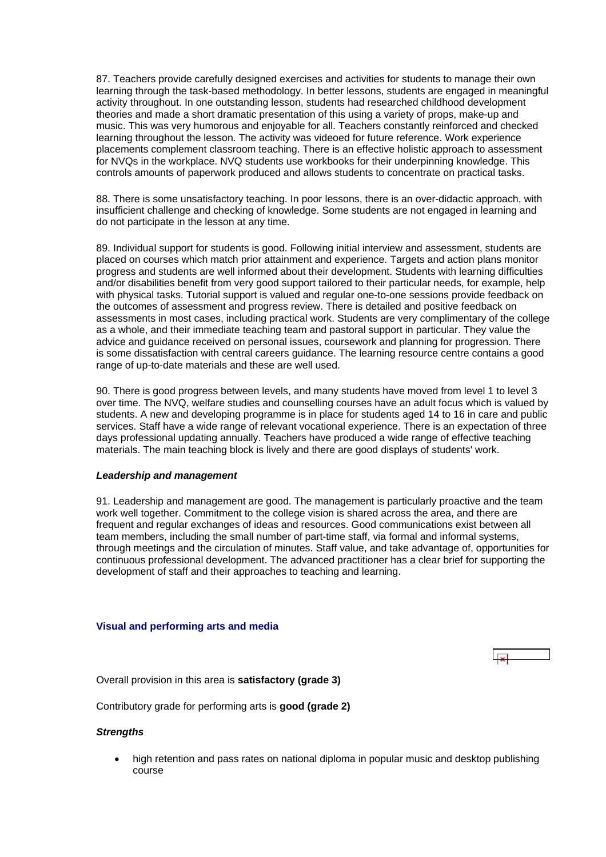<span id="page-31-0"></span>87. Teachers provide carefully designed exercises and activities for students to manage their own learning through the task-based methodology. In better lessons, students are engaged in meaningful activity throughout. In one outstanding lesson, students had researched childhood development theories and made a short dramatic presentation of this using a variety of props, make-up and music. This was very humorous and enjoyable for all. Teachers constantly reinforced and checked learning throughout the lesson. The activity was videoed for future reference. Work experience placements complement classroom teaching. There is an effective holistic approach to assessment for NVQs in the workplace. NVQ students use workbooks for their underpinning knowledge. This controls amounts of paperwork produced and allows students to concentrate on practical tasks.

88. There is some unsatisfactory teaching. In poor lessons, there is an over-didactic approach, with insufficient challenge and checking of knowledge. Some students are not engaged in learning and do not participate in the lesson at any time.

89. Individual support for students is good. Following initial interview and assessment, students are placed on courses which match prior attainment and experience. Targets and action plans monitor progress and students are well informed about their development. Students with learning difficulties and/or disabilities benefit from very good support tailored to their particular needs, for example, help with physical tasks. Tutorial support is valued and regular one-to-one sessions provide feedback on the outcomes of assessment and progress review. There is detailed and positive feedback on assessments in most cases, including practical work. Students are very complimentary of the college as a whole, and their immediate teaching team and pastoral support in particular. They value the advice and guidance received on personal issues, coursework and planning for progression. There is some dissatisfaction with central careers guidance. The learning resource centre contains a good range of up-to-date materials and these are well used.

90. There is good progress between levels, and many students have moved from level 1 to level 3 over time. The NVQ, welfare studies and counselling courses have an adult focus which is valued by students. A new and developing programme is in place for students aged 14 to 16 in care and public services. Staff have a wide range of relevant vocational experience. There is an expectation of three days professional updating annually. Teachers have produced a wide range of effective teaching materials. The main teaching block is lively and there are good displays of students' work.

## *Leadership and management*

91. Leadership and management are good. The management is particularly proactive and the team work well together. Commitment to the college vision is shared across the area, and there are frequent and regular exchanges of ideas and resources. Good communications exist between all team members, including the small number of part-time staff, via formal and informal systems, through meetings and the circulation of minutes. Staff value, and take advantage of, opportunities for continuous professional development. The advanced practitioner has a clear brief for supporting the development of staff and their approaches to teaching and learning.

## **Visual and performing arts and media**

Overall provision in this area is **satisfactory (grade 3)**

Contributory grade for performing arts is **good (grade 2)**

## *Strengths*

• high retention and pass rates on national diploma in popular music and desktop publishing course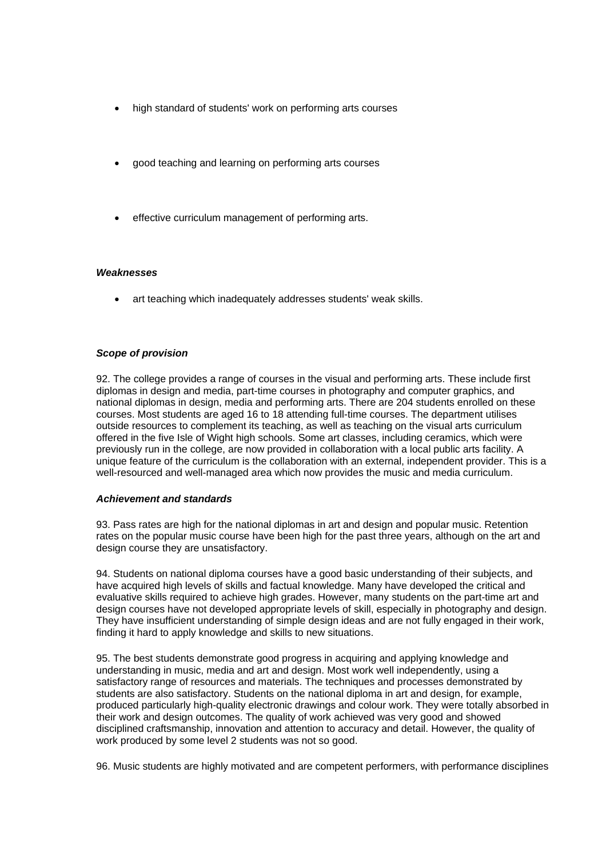- high standard of students' work on performing arts courses
- good teaching and learning on performing arts courses
- effective curriculum management of performing arts.

## *Weaknesses*

• art teaching which inadequately addresses students' weak skills.

#### *Scope of provision*

92. The college provides a range of courses in the visual and performing arts. These include first diplomas in design and media, part-time courses in photography and computer graphics, and national diplomas in design, media and performing arts. There are 204 students enrolled on these courses. Most students are aged 16 to 18 attending full-time courses. The department utilises outside resources to complement its teaching, as well as teaching on the visual arts curriculum offered in the five Isle of Wight high schools. Some art classes, including ceramics, which were previously run in the college, are now provided in collaboration with a local public arts facility. A unique feature of the curriculum is the collaboration with an external, independent provider. This is a well-resourced and well-managed area which now provides the music and media curriculum.

## *Achievement and standards*

93. Pass rates are high for the national diplomas in art and design and popular music. Retention rates on the popular music course have been high for the past three years, although on the art and design course they are unsatisfactory.

94. Students on national diploma courses have a good basic understanding of their subjects, and have acquired high levels of skills and factual knowledge. Many have developed the critical and evaluative skills required to achieve high grades. However, many students on the part-time art and design courses have not developed appropriate levels of skill, especially in photography and design. They have insufficient understanding of simple design ideas and are not fully engaged in their work, finding it hard to apply knowledge and skills to new situations.

95. The best students demonstrate good progress in acquiring and applying knowledge and understanding in music, media and art and design. Most work well independently, using a satisfactory range of resources and materials. The techniques and processes demonstrated by students are also satisfactory. Students on the national diploma in art and design, for example, produced particularly high-quality electronic drawings and colour work. They were totally absorbed in their work and design outcomes. The quality of work achieved was very good and showed disciplined craftsmanship, innovation and attention to accuracy and detail. However, the quality of work produced by some level 2 students was not so good.

96. Music students are highly motivated and are competent performers, with performance disciplines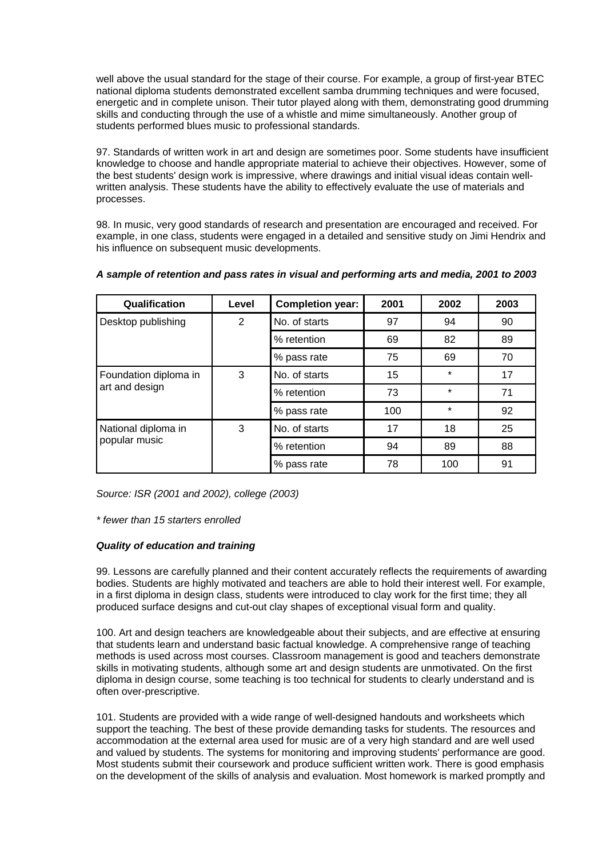well above the usual standard for the stage of their course. For example, a group of first-year BTEC national diploma students demonstrated excellent samba drumming techniques and were focused, energetic and in complete unison. Their tutor played along with them, demonstrating good drumming skills and conducting through the use of a whistle and mime simultaneously. Another group of students performed blues music to professional standards.

97. Standards of written work in art and design are sometimes poor. Some students have insufficient knowledge to choose and handle appropriate material to achieve their objectives. However, some of the best students' design work is impressive, where drawings and initial visual ideas contain wellwritten analysis. These students have the ability to effectively evaluate the use of materials and processes.

98. In music, very good standards of research and presentation are encouraged and received. For example, in one class, students were engaged in a detailed and sensitive study on Jimi Hendrix and his influence on subsequent music developments.

| Qualification         | Level          | <b>Completion year:</b> | 2001 | 2002    | 2003 |
|-----------------------|----------------|-------------------------|------|---------|------|
| Desktop publishing    | $\overline{2}$ | No. of starts           | 97   | 94      | 90   |
|                       |                | % retention             | 69   | 82      | 89   |
|                       |                | % pass rate             | 75   | 69      | 70   |
| Foundation diploma in | 3              | No. of starts           | 15   | $\star$ | 17   |
| art and design        |                | % retention             | 73   | $\star$ | 71   |
|                       |                | % pass rate             | 100  | $\star$ | 92   |
| National diploma in   | 3              | No. of starts           | 17   | 18      | 25   |
| popular music         |                | % retention             | 94   | 89      | 88   |
|                       |                | % pass rate             | 78   | 100     | 91   |

## *A sample of retention and pass rates in visual and performing arts and media, 2001 to 2003*

*Source: ISR (2001 and 2002), college (2003)*

*\* fewer than 15 starters enrolled*

## *Quality of education and training*

99. Lessons are carefully planned and their content accurately reflects the requirements of awarding bodies. Students are highly motivated and teachers are able to hold their interest well. For example, in a first diploma in design class, students were introduced to clay work for the first time; they all produced surface designs and cut-out clay shapes of exceptional visual form and quality.

100. Art and design teachers are knowledgeable about their subjects, and are effective at ensuring that students learn and understand basic factual knowledge. A comprehensive range of teaching methods is used across most courses. Classroom management is good and teachers demonstrate skills in motivating students, although some art and design students are unmotivated. On the first diploma in design course, some teaching is too technical for students to clearly understand and is often over-prescriptive.

101. Students are provided with a wide range of well-designed handouts and worksheets which support the teaching. The best of these provide demanding tasks for students. The resources and accommodation at the external area used for music are of a very high standard and are well used and valued by students. The systems for monitoring and improving students' performance are good. Most students submit their coursework and produce sufficient written work. There is good emphasis on the development of the skills of analysis and evaluation. Most homework is marked promptly and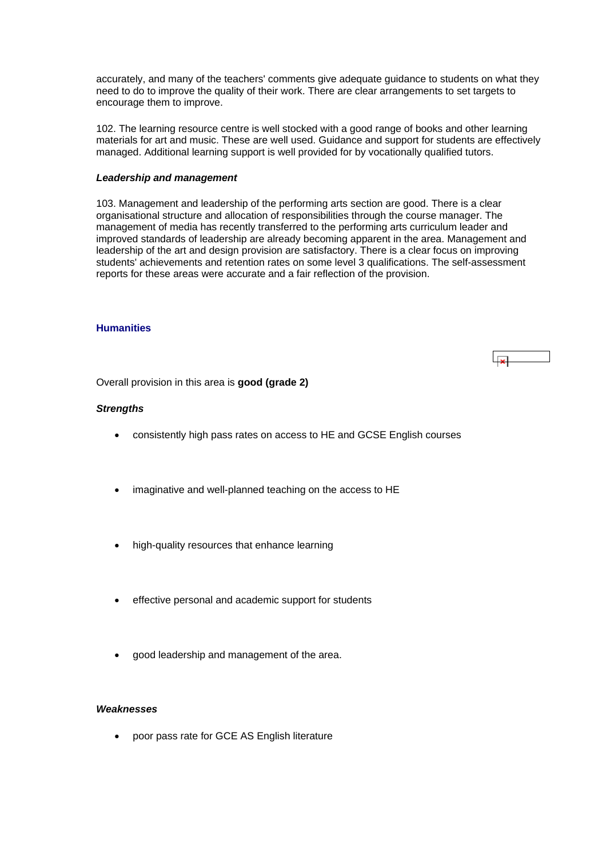<span id="page-34-0"></span>accurately, and many of the teachers' comments give adequate guidance to students on what they need to do to improve the quality of their work. There are clear arrangements to set targets to encourage them to improve.

102. The learning resource centre is well stocked with a good range of books and other learning materials for art and music. These are well used. Guidance and support for students are effectively managed. Additional learning support is well provided for by vocationally qualified tutors.

## *Leadership and management*

103. Management and leadership of the performing arts section are good. There is a clear organisational structure and allocation of responsibilities through the course manager. The management of media has recently transferred to the performing arts curriculum leader and improved standards of leadership are already becoming apparent in the area. Management and leadership of the art and design provision are satisfactory. There is a clear focus on improving students' achievements and retention rates on some level 3 qualifications. The self-assessment reports for these areas were accurate and a fair reflection of the provision.

## **Humanities**



Overall provision in this area is **good (grade 2)**

## *Strengths*

- consistently high pass rates on access to HE and GCSE English courses
- imaginative and well-planned teaching on the access to HE
- high-quality resources that enhance learning
- effective personal and academic support for students
- good leadership and management of the area.

## *Weaknesses*

• poor pass rate for GCE AS English literature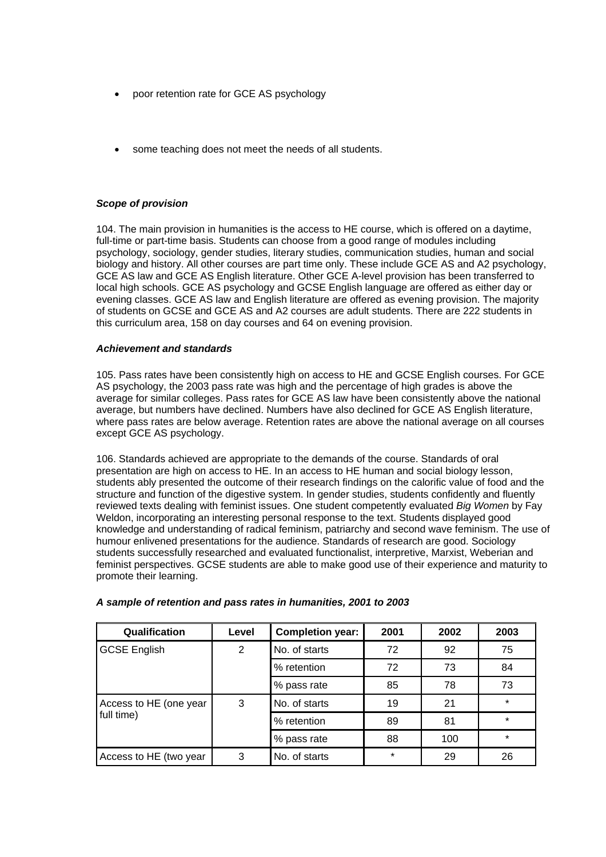- poor retention rate for GCE AS psychology
- some teaching does not meet the needs of all students.

## *Scope of provision*

104. The main provision in humanities is the access to HE course, which is offered on a daytime, full-time or part-time basis. Students can choose from a good range of modules including psychology, sociology, gender studies, literary studies, communication studies, human and social biology and history. All other courses are part time only. These include GCE AS and A2 psychology, GCE AS law and GCE AS English literature. Other GCE A-level provision has been transferred to local high schools. GCE AS psychology and GCSE English language are offered as either day or evening classes. GCE AS law and English literature are offered as evening provision. The majority of students on GCSE and GCE AS and A2 courses are adult students. There are 222 students in this curriculum area, 158 on day courses and 64 on evening provision.

## *Achievement and standards*

105. Pass rates have been consistently high on access to HE and GCSE English courses. For GCE AS psychology, the 2003 pass rate was high and the percentage of high grades is above the average for similar colleges. Pass rates for GCE AS law have been consistently above the national average, but numbers have declined. Numbers have also declined for GCE AS English literature, where pass rates are below average. Retention rates are above the national average on all courses except GCE AS psychology.

106. Standards achieved are appropriate to the demands of the course. Standards of oral presentation are high on access to HE. In an access to HE human and social biology lesson, students ably presented the outcome of their research findings on the calorific value of food and the structure and function of the digestive system. In gender studies, students confidently and fluently reviewed texts dealing with feminist issues. One student competently evaluated *Big Women* by Fay Weldon, incorporating an interesting personal response to the text. Students displayed good knowledge and understanding of radical feminism, patriarchy and second wave feminism. The use of humour enlivened presentations for the audience. Standards of research are good. Sociology students successfully researched and evaluated functionalist, interpretive, Marxist, Weberian and feminist perspectives. GCSE students are able to make good use of their experience and maturity to promote their learning.

| Qualification          | Level | <b>Completion year:</b> | 2001    | 2002 | 2003    |
|------------------------|-------|-------------------------|---------|------|---------|
| <b>GCSE English</b>    | 2     | No. of starts           | 72      | 92   | 75      |
|                        |       | % retention             | 72      | 73   | 84      |
|                        |       | % pass rate             | 85      | 78   | 73      |
| Access to HE (one year | 3     | No. of starts           | 19      | 21   | $\star$ |
| full time)             |       | % retention             | 89      | 81   | $\star$ |
|                        |       | % pass rate             | 88      | 100  | $\star$ |
| Access to HE (two year | 3     | No. of starts           | $\star$ | 29   | 26      |

## *A sample of retention and pass rates in humanities, 2001 to 2003*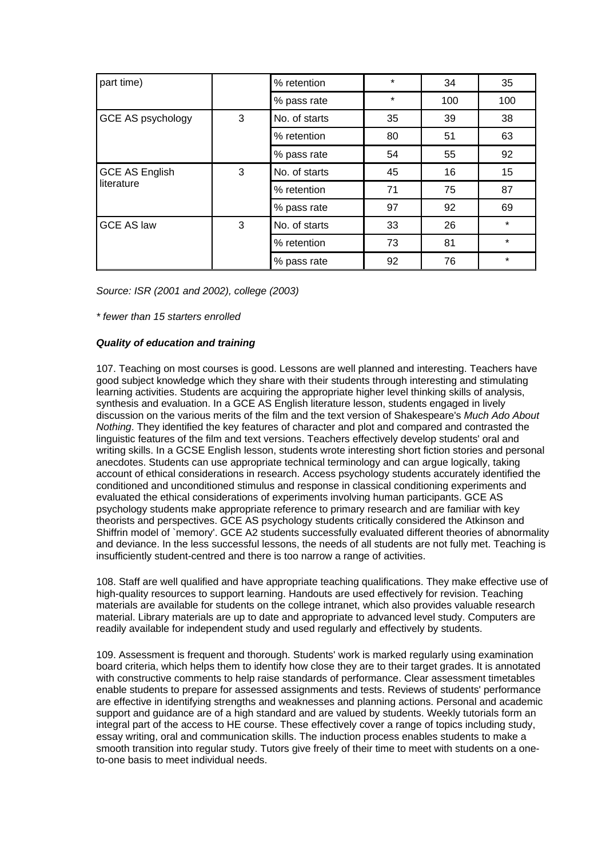| part time)               |   | % retention   | $\star$ | 34  | 35      |
|--------------------------|---|---------------|---------|-----|---------|
|                          |   | % pass rate   | $\star$ | 100 | 100     |
| <b>GCE AS psychology</b> | 3 | No. of starts | 35      | 39  | 38      |
|                          |   | % retention   | 80      | 51  | 63      |
|                          |   | % pass rate   | 54      | 55  | 92      |
| <b>GCE AS English</b>    | 3 | No. of starts | 45      | 16  | 15      |
| literature               |   | % retention   | 71      | 75  | 87      |
|                          |   | % pass rate   | 97      | 92  | 69      |
| <b>GCE AS law</b>        | 3 | No. of starts | 33      | 26  | $\star$ |
|                          |   | % retention   | 73      | 81  | $\star$ |
|                          |   | % pass rate   | 92      | 76  | $\star$ |

*Source: ISR (2001 and 2002), college (2003)*

*\* fewer than 15 starters enrolled*

## *Quality of education and training*

107. Teaching on most courses is good. Lessons are well planned and interesting. Teachers have good subject knowledge which they share with their students through interesting and stimulating learning activities. Students are acquiring the appropriate higher level thinking skills of analysis, synthesis and evaluation. In a GCE AS English literature lesson, students engaged in lively discussion on the various merits of the film and the text version of Shakespeare's *Much Ado About Nothing*. They identified the key features of character and plot and compared and contrasted the linguistic features of the film and text versions. Teachers effectively develop students' oral and writing skills. In a GCSE English lesson, students wrote interesting short fiction stories and personal anecdotes. Students can use appropriate technical terminology and can argue logically, taking account of ethical considerations in research. Access psychology students accurately identified the conditioned and unconditioned stimulus and response in classical conditioning experiments and evaluated the ethical considerations of experiments involving human participants. GCE AS psychology students make appropriate reference to primary research and are familiar with key theorists and perspectives. GCE AS psychology students critically considered the Atkinson and Shiffrin model of `memory'. GCE A2 students successfully evaluated different theories of abnormality and deviance. In the less successful lessons, the needs of all students are not fully met. Teaching is insufficiently student-centred and there is too narrow a range of activities.

108. Staff are well qualified and have appropriate teaching qualifications. They make effective use of high-quality resources to support learning. Handouts are used effectively for revision. Teaching materials are available for students on the college intranet, which also provides valuable research material. Library materials are up to date and appropriate to advanced level study. Computers are readily available for independent study and used regularly and effectively by students.

109. Assessment is frequent and thorough. Students' work is marked regularly using examination board criteria, which helps them to identify how close they are to their target grades. It is annotated with constructive comments to help raise standards of performance. Clear assessment timetables enable students to prepare for assessed assignments and tests. Reviews of students' performance are effective in identifying strengths and weaknesses and planning actions. Personal and academic support and guidance are of a high standard and are valued by students. Weekly tutorials form an integral part of the access to HE course. These effectively cover a range of topics including study, essay writing, oral and communication skills. The induction process enables students to make a smooth transition into regular study. Tutors give freely of their time to meet with students on a oneto-one basis to meet individual needs.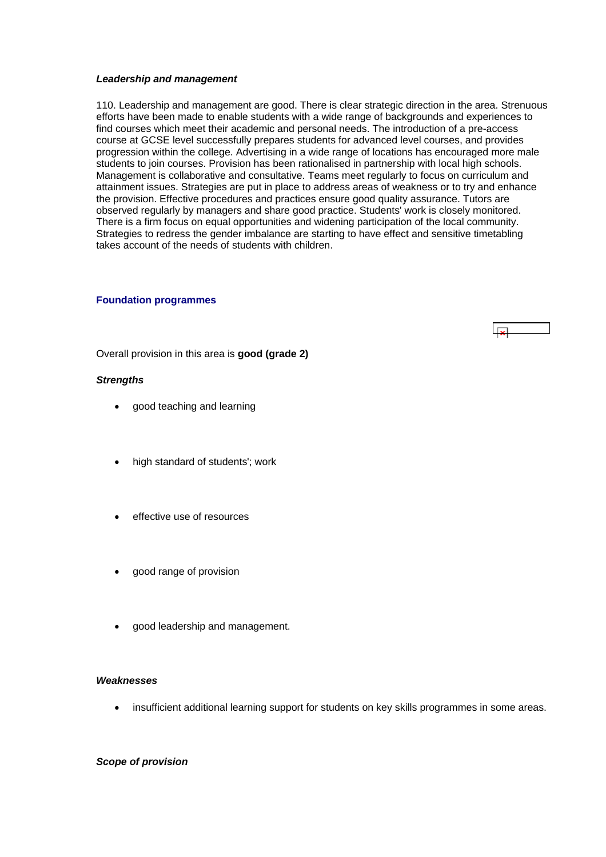#### <span id="page-37-0"></span>*Leadership and management*

110. Leadership and management are good. There is clear strategic direction in the area. Strenuous efforts have been made to enable students with a wide range of backgrounds and experiences to find courses which meet their academic and personal needs. The introduction of a pre-access course at GCSE level successfully prepares students for advanced level courses, and provides progression within the college. Advertising in a wide range of locations has encouraged more male students to join courses. Provision has been rationalised in partnership with local high schools. Management is collaborative and consultative. Teams meet regularly to focus on curriculum and attainment issues. Strategies are put in place to address areas of weakness or to try and enhance the provision. Effective procedures and practices ensure good quality assurance. Tutors are observed regularly by managers and share good practice. Students' work is closely monitored. There is a firm focus on equal opportunities and widening participation of the local community. Strategies to redress the gender imbalance are starting to have effect and sensitive timetabling takes account of the needs of students with children.

#### **Foundation programmes**



Overall provision in this area is **good (grade 2)**

#### *Strengths*

- good teaching and learning
- high standard of students'; work
- effective use of resources
- good range of provision
- good leadership and management.

## *Weaknesses*

• insufficient additional learning support for students on key skills programmes in some areas.

## *Scope of provision*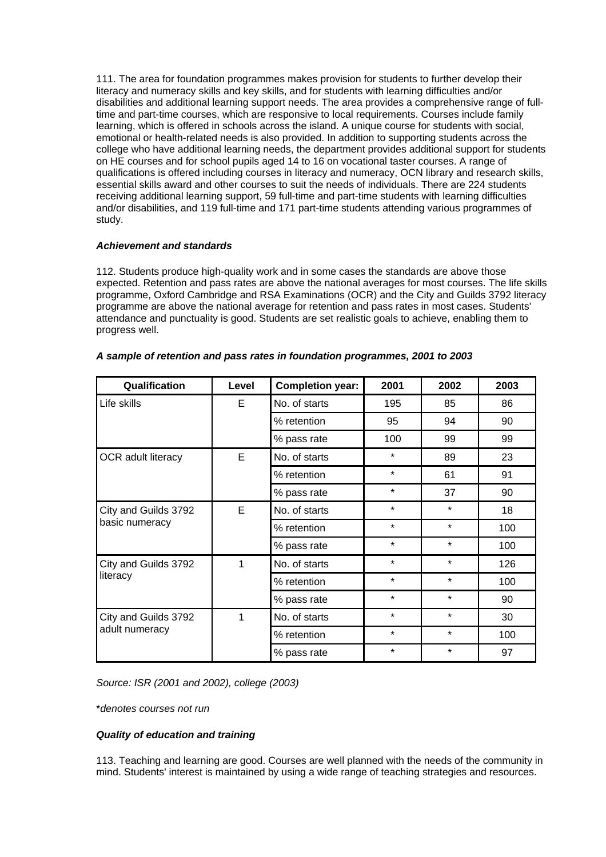111. The area for foundation programmes makes provision for students to further develop their literacy and numeracy skills and key skills, and for students with learning difficulties and/or disabilities and additional learning support needs. The area provides a comprehensive range of fulltime and part-time courses, which are responsive to local requirements. Courses include family learning, which is offered in schools across the island. A unique course for students with social, emotional or health-related needs is also provided. In addition to supporting students across the college who have additional learning needs, the department provides additional support for students on HE courses and for school pupils aged 14 to 16 on vocational taster courses. A range of qualifications is offered including courses in literacy and numeracy, OCN library and research skills, essential skills award and other courses to suit the needs of individuals. There are 224 students receiving additional learning support, 59 full-time and part-time students with learning difficulties and/or disabilities, and 119 full-time and 171 part-time students attending various programmes of study.

## *Achievement and standards*

112. Students produce high-quality work and in some cases the standards are above those expected. Retention and pass rates are above the national averages for most courses. The life skills programme, Oxford Cambridge and RSA Examinations (OCR) and the City and Guilds 3792 literacy programme are above the national average for retention and pass rates in most cases. Students' attendance and punctuality is good. Students are set realistic goals to achieve, enabling them to progress well.

| Qualification                          | Level | <b>Completion year:</b> | 2001    | 2002    | 2003 |
|----------------------------------------|-------|-------------------------|---------|---------|------|
| Life skills                            | E     | No. of starts           | 195     | 85      | 86   |
|                                        |       | % retention             | 95      | 94      | 90   |
|                                        |       | % pass rate             | 100     | 99      | 99   |
| <b>OCR</b> adult literacy              | E     | No. of starts           | $\star$ | 89      | 23   |
|                                        |       | % retention             | $\star$ | 61      | 91   |
|                                        |       | % pass rate             | $\star$ | 37      | 90   |
| City and Guilds 3792                   | E     | No. of starts           | $\star$ | $\star$ | 18   |
| basic numeracy                         |       | % retention             | $\star$ | $\star$ | 100  |
|                                        |       | % pass rate             | $\star$ | $\star$ | 100  |
| City and Guilds 3792                   | 1     | No. of starts           | $\star$ | $\star$ | 126  |
| literacy                               |       | % retention             | $\star$ | $\star$ | 100  |
|                                        |       | % pass rate             | $\star$ | $\star$ | 90   |
| City and Guilds 3792<br>adult numeracy | 1     | No. of starts           | $\star$ | $\star$ | 30   |
|                                        |       | % retention             | $\star$ | $\star$ | 100  |
|                                        |       | % pass rate             | $\star$ | $\star$ | 97   |

## *A sample of retention and pass rates in foundation programmes, 2001 to 2003*

*Source: ISR (2001 and 2002), college (2003)*

\**denotes courses not run*

## *Quality of education and training*

113. Teaching and learning are good. Courses are well planned with the needs of the community in mind. Students' interest is maintained by using a wide range of teaching strategies and resources.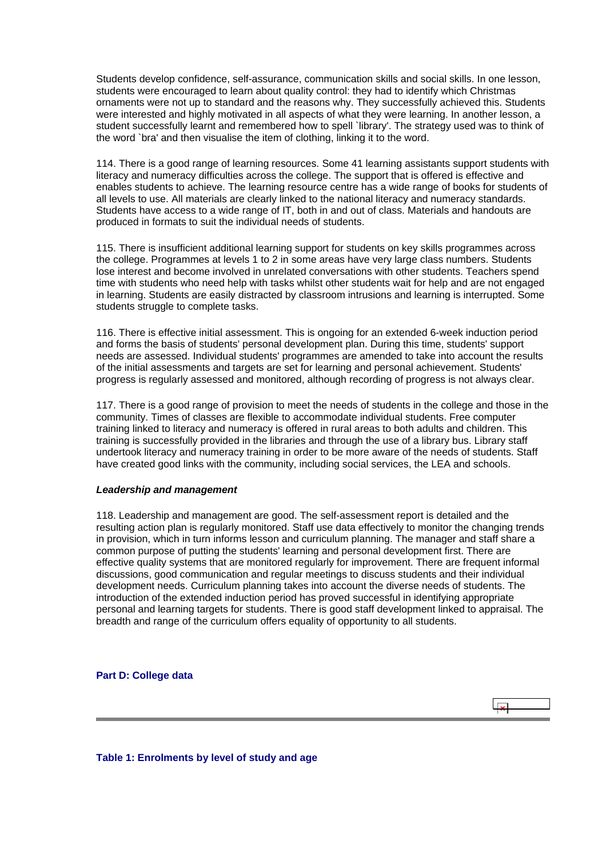<span id="page-39-0"></span>Students develop confidence, self-assurance, communication skills and social skills. In one lesson, students were encouraged to learn about quality control: they had to identify which Christmas ornaments were not up to standard and the reasons why. They successfully achieved this. Students were interested and highly motivated in all aspects of what they were learning. In another lesson, a student successfully learnt and remembered how to spell `library'. The strategy used was to think of the word `bra' and then visualise the item of clothing, linking it to the word.

114. There is a good range of learning resources. Some 41 learning assistants support students with literacy and numeracy difficulties across the college. The support that is offered is effective and enables students to achieve. The learning resource centre has a wide range of books for students of all levels to use. All materials are clearly linked to the national literacy and numeracy standards. Students have access to a wide range of IT, both in and out of class. Materials and handouts are produced in formats to suit the individual needs of students.

115. There is insufficient additional learning support for students on key skills programmes across the college. Programmes at levels 1 to 2 in some areas have very large class numbers. Students lose interest and become involved in unrelated conversations with other students. Teachers spend time with students who need help with tasks whilst other students wait for help and are not engaged in learning. Students are easily distracted by classroom intrusions and learning is interrupted. Some students struggle to complete tasks.

116. There is effective initial assessment. This is ongoing for an extended 6-week induction period and forms the basis of students' personal development plan. During this time, students' support needs are assessed. Individual students' programmes are amended to take into account the results of the initial assessments and targets are set for learning and personal achievement. Students' progress is regularly assessed and monitored, although recording of progress is not always clear.

117. There is a good range of provision to meet the needs of students in the college and those in the community. Times of classes are flexible to accommodate individual students. Free computer training linked to literacy and numeracy is offered in rural areas to both adults and children. This training is successfully provided in the libraries and through the use of a library bus. Library staff undertook literacy and numeracy training in order to be more aware of the needs of students. Staff have created good links with the community, including social services, the LEA and schools.

## *Leadership and management*

118. Leadership and management are good. The self-assessment report is detailed and the resulting action plan is regularly monitored. Staff use data effectively to monitor the changing trends in provision, which in turn informs lesson and curriculum planning. The manager and staff share a common purpose of putting the students' learning and personal development first. There are effective quality systems that are monitored regularly for improvement. There are frequent informal discussions, good communication and regular meetings to discuss students and their individual development needs. Curriculum planning takes into account the diverse needs of students. The introduction of the extended induction period has proved successful in identifying appropriate personal and learning targets for students. There is good staff development linked to appraisal. The breadth and range of the curriculum offers equality of opportunity to all students.

 $\overline{1}$ 

**Part D: College data**

**Table 1: Enrolments by level of study and age**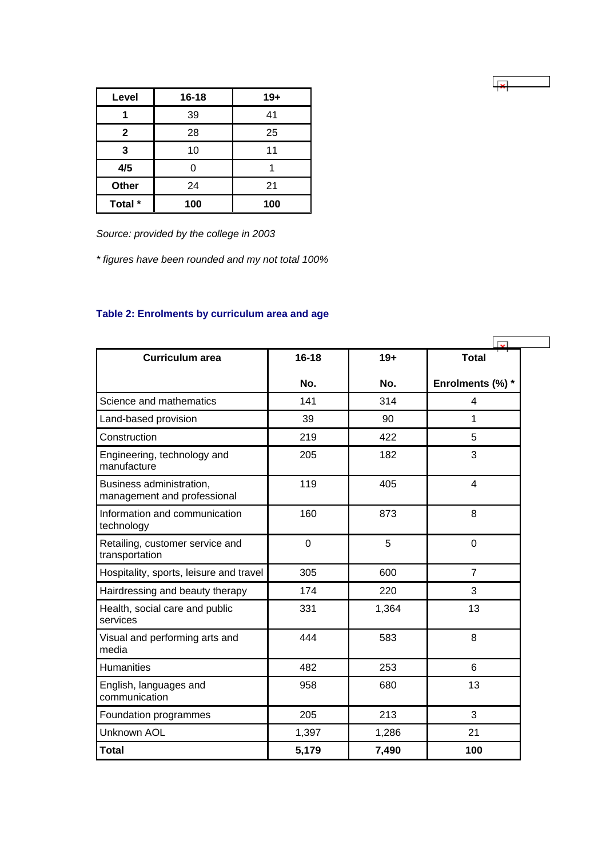<span id="page-40-0"></span>

| Level        | $16 - 18$ | $19+$ |
|--------------|-----------|-------|
|              | 39        | 41    |
| $\mathbf{2}$ | 28        | 25    |
| 3            | 10        | 11    |
| 4/5          |           |       |
| Other        | 24        | 21    |
| Total *      | 100       | 100   |

*Source: provided by the college in 2003*

*\* figures have been rounded and my not total 100%*

| <b>Curriculum area</b>                                  | $16 - 18$   | $19+$ | <b>Total</b>     |
|---------------------------------------------------------|-------------|-------|------------------|
|                                                         | No.         | No.   | Enrolments (%) * |
| Science and mathematics                                 | 141         | 314   | 4                |
| Land-based provision                                    | 39          | 90    | 1                |
| Construction                                            | 219         | 422   | 5                |
| Engineering, technology and<br>manufacture              | 205         | 182   | 3                |
| Business administration,<br>management and professional | 119         | 405   | 4                |
| Information and communication<br>technology             | 160         | 873   | 8                |
| Retailing, customer service and<br>transportation       | $\mathbf 0$ | 5     | $\mathbf 0$      |
| Hospitality, sports, leisure and travel                 | 305         | 600   | $\overline{7}$   |
| Hairdressing and beauty therapy                         | 174         | 220   | 3                |
| Health, social care and public<br>services              | 331         | 1,364 | 13               |
| Visual and performing arts and<br>media                 | 444         | 583   | 8                |
| Humanities                                              | 482         | 253   | 6                |
| English, languages and<br>communication                 | 958         | 680   | 13               |
| Foundation programmes                                   | 205         | 213   | 3                |
| Unknown AOL                                             | 1,397       | 1,286 | 21               |
| <b>Total</b>                                            | 5,179       | 7,490 | 100              |

 $\sqrt{\frac{1}{x}}$ 

# **Table 2: Enrolments by curriculum area and age**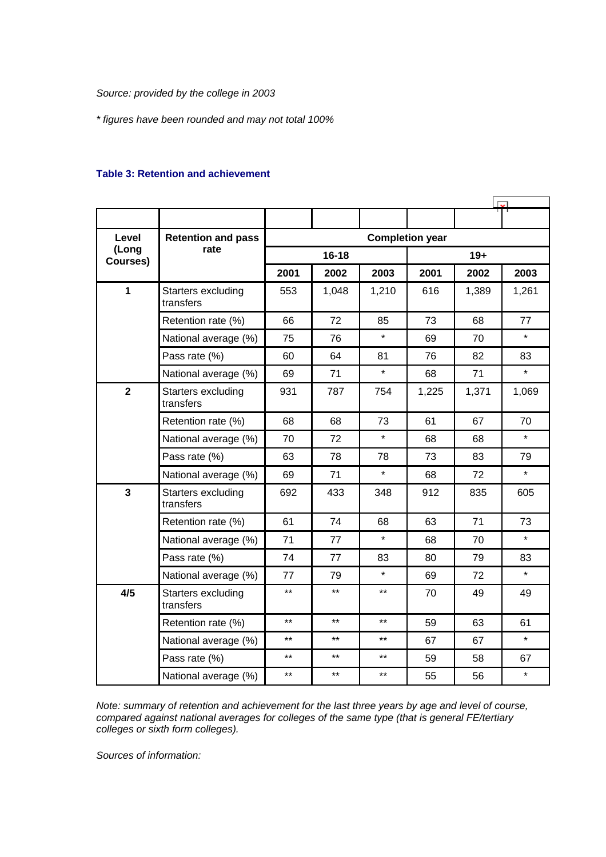<span id="page-41-0"></span>*Source: provided by the college in 2003*

*\* figures have been rounded and may not total 100%*

## **Table 3: Retention and achievement**

| Level                   | <b>Retention and pass</b>       | <b>Completion year</b> |           |         |       |       |         |  |
|-------------------------|---------------------------------|------------------------|-----------|---------|-------|-------|---------|--|
| (Long<br>Courses)       | rate                            |                        | $16 - 18$ |         |       | $19+$ |         |  |
|                         |                                 | 2001                   | 2002      | 2003    | 2001  | 2002  | 2003    |  |
| 1                       | Starters excluding<br>transfers | 553                    | 1,048     | 1,210   | 616   | 1,389 | 1,261   |  |
|                         | Retention rate (%)              | 66                     | 72        | 85      | 73    | 68    | 77      |  |
|                         | National average (%)            | 75                     | 76        | $\star$ | 69    | 70    | $\star$ |  |
|                         | Pass rate (%)                   | 60                     | 64        | 81      | 76    | 82    | 83      |  |
|                         | National average (%)            | 69                     | 71        | $\star$ | 68    | 71    | $\star$ |  |
| $\overline{\mathbf{2}}$ | Starters excluding<br>transfers | 931                    | 787       | 754     | 1,225 | 1,371 | 1,069   |  |
|                         | Retention rate (%)              | 68                     | 68        | 73      | 61    | 67    | 70      |  |
|                         | National average (%)            | 70                     | 72        | $\star$ | 68    | 68    | $\star$ |  |
|                         | Pass rate (%)                   | 63                     | 78        | 78      | 73    | 83    | 79      |  |
|                         | National average (%)            | 69                     | 71        | $\star$ | 68    | 72    | $\star$ |  |
| $\overline{3}$          | Starters excluding<br>transfers | 692                    | 433       | 348     | 912   | 835   | 605     |  |
|                         | Retention rate (%)              | 61                     | 74        | 68      | 63    | 71    | 73      |  |
|                         | National average (%)            | 71                     | 77        | $\star$ | 68    | 70    | $\star$ |  |
|                         | Pass rate (%)                   | 74                     | 77        | 83      | 80    | 79    | 83      |  |
|                         | National average (%)            | 77                     | 79        | $\star$ | 69    | 72    | $\star$ |  |
| 4/5                     | Starters excluding<br>transfers | $***$                  | $***$     | $***$   | 70    | 49    | 49      |  |
|                         | Retention rate (%)              | $***$                  | $***$     | $***$   | 59    | 63    | 61      |  |
|                         | National average (%)            | $***$                  | $***$     | $***$   | 67    | 67    | $\star$ |  |
|                         | Pass rate (%)                   | $***$                  | $***$     | $***$   | 59    | 58    | 67      |  |
|                         | National average (%)            | $***$                  | $***$     | $***$   | 55    | 56    | $\star$ |  |

*Note: summary of retention and achievement for the last three years by age and level of course, compared against national averages for colleges of the same type (that is general FE/tertiary colleges or sixth form colleges).*

*Sources of information:*